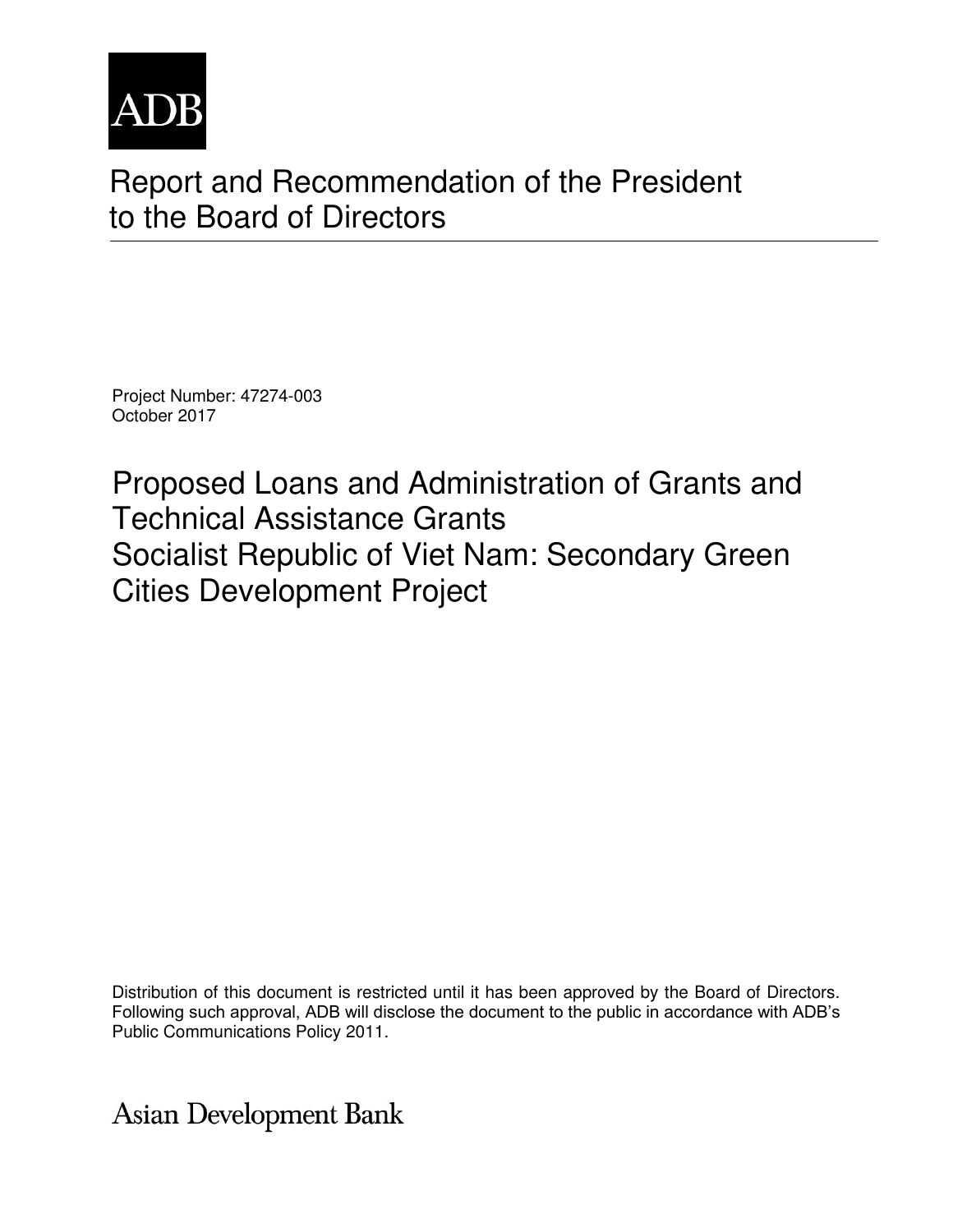

# Report and Recommendation of the President to the Board of Directors

Project Number: 47274-003 October 2017

Proposed Loans and Administration of Grants and Technical Assistance Grants Socialist Republic of Viet Nam: Secondary Green Cities Development Project

Distribution of this document is restricted until it has been approved by the Board of Directors. Following such approval, ADB will disclose the document to the public in accordance with ADB's Public Communications Policy 2011.

**Asian Development Bank**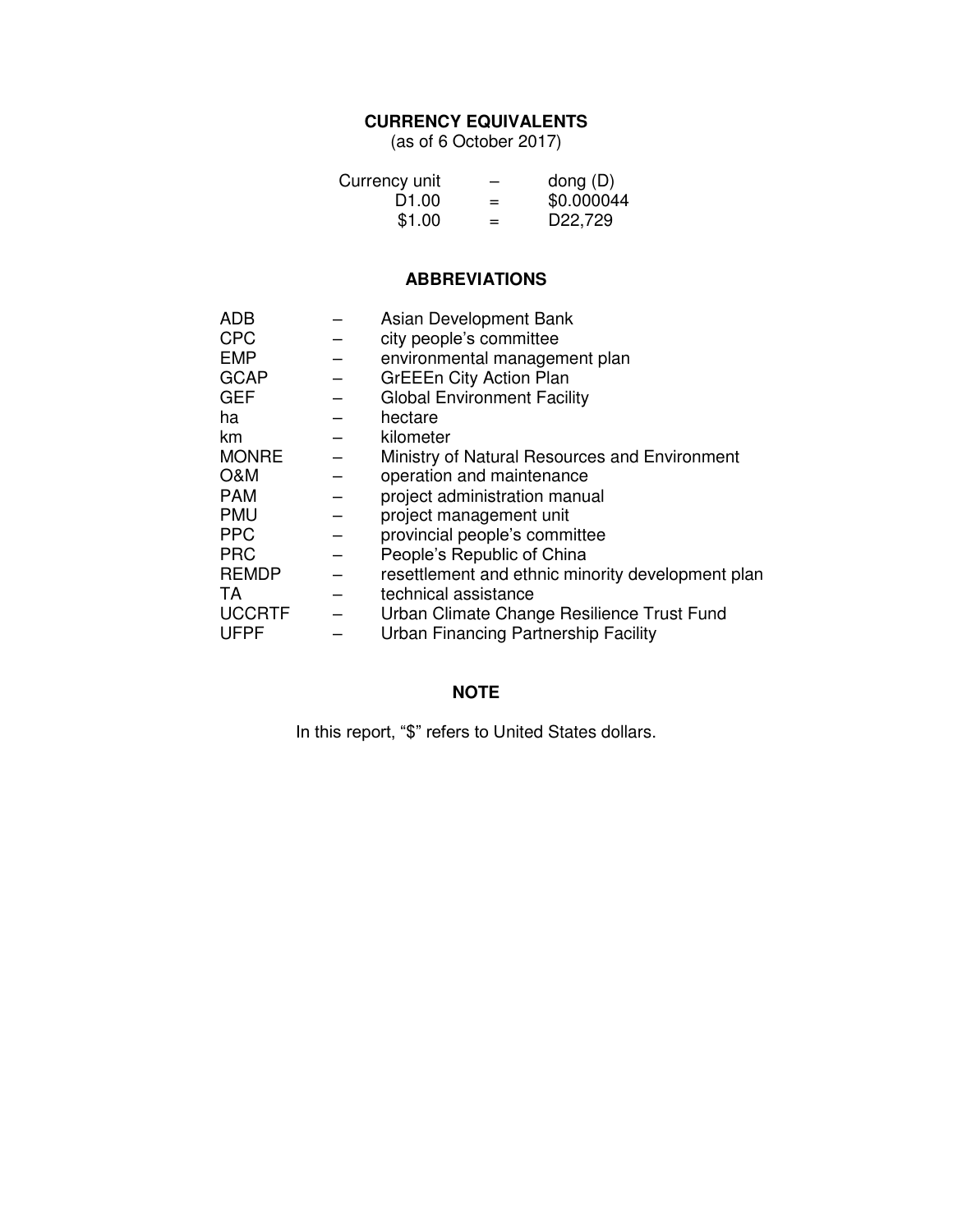### **CURRENCY EQUIVALENTS**

(as of 6 October 2017)

| Currency unit     | -   | dong $(D)$           |
|-------------------|-----|----------------------|
| D <sub>1.00</sub> | $=$ | \$0.000044           |
| \$1.00            | $=$ | D <sub>22</sub> ,729 |

#### **ABBREVIATIONS**

| Asian Development Bank                            |
|---------------------------------------------------|
| city people's committee                           |
| environmental management plan                     |
| <b>GrEEEn City Action Plan</b>                    |
| <b>Global Environment Facility</b>                |
| hectare                                           |
| kilometer                                         |
| Ministry of Natural Resources and Environment     |
| operation and maintenance                         |
| project administration manual                     |
| project management unit                           |
| provincial people's committee                     |
| People's Republic of China                        |
| resettlement and ethnic minority development plan |
| technical assistance                              |
| Urban Climate Change Resilience Trust Fund        |
| Urban Financing Partnership Facility              |
|                                                   |

# **NOTE**

In this report, "\$" refers to United States dollars.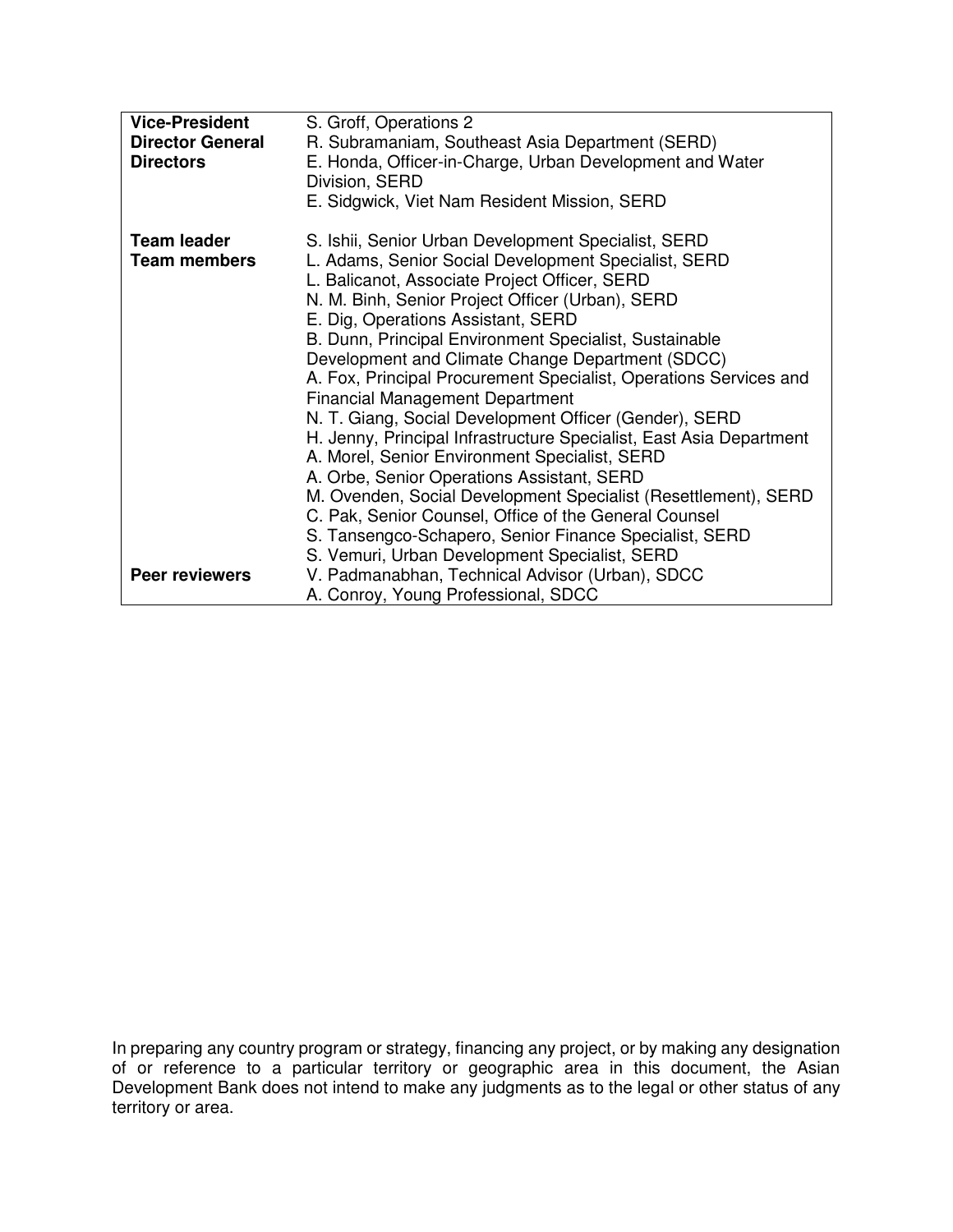| <b>Vice-President</b><br><b>Director General</b><br><b>Directors</b> | S. Groff, Operations 2<br>R. Subramaniam, Southeast Asia Department (SERD)<br>E. Honda, Officer-in-Charge, Urban Development and Water                                                                                                                                                                                                                                                                                                                                                                                                                                                                                                                                                                                                                                                                                                                                                                                                                    |
|----------------------------------------------------------------------|-----------------------------------------------------------------------------------------------------------------------------------------------------------------------------------------------------------------------------------------------------------------------------------------------------------------------------------------------------------------------------------------------------------------------------------------------------------------------------------------------------------------------------------------------------------------------------------------------------------------------------------------------------------------------------------------------------------------------------------------------------------------------------------------------------------------------------------------------------------------------------------------------------------------------------------------------------------|
|                                                                      | Division, SERD<br>E. Sidgwick, Viet Nam Resident Mission, SERD                                                                                                                                                                                                                                                                                                                                                                                                                                                                                                                                                                                                                                                                                                                                                                                                                                                                                            |
| Team leader<br><b>Team members</b>                                   | S. Ishii, Senior Urban Development Specialist, SERD<br>L. Adams, Senior Social Development Specialist, SERD<br>L. Balicanot, Associate Project Officer, SERD<br>N. M. Binh, Senior Project Officer (Urban), SERD<br>E. Dig, Operations Assistant, SERD<br>B. Dunn, Principal Environment Specialist, Sustainable<br>Development and Climate Change Department (SDCC)<br>A. Fox, Principal Procurement Specialist, Operations Services and<br><b>Financial Management Department</b><br>N. T. Giang, Social Development Officer (Gender), SERD<br>H. Jenny, Principal Infrastructure Specialist, East Asia Department<br>A. Morel, Senior Environment Specialist, SERD<br>A. Orbe, Senior Operations Assistant, SERD<br>M. Ovenden, Social Development Specialist (Resettlement), SERD<br>C. Pak, Senior Counsel, Office of the General Counsel<br>S. Tansengco-Schapero, Senior Finance Specialist, SERD<br>S. Vemuri, Urban Development Specialist, SERD |
| Peer reviewers                                                       | V. Padmanabhan, Technical Advisor (Urban), SDCC<br>A. Conroy, Young Professional, SDCC                                                                                                                                                                                                                                                                                                                                                                                                                                                                                                                                                                                                                                                                                                                                                                                                                                                                    |

In preparing any country program or strategy, financing any project, or by making any designation of or reference to a particular territory or geographic area in this document, the Asian Development Bank does not intend to make any judgments as to the legal or other status of any territory or area.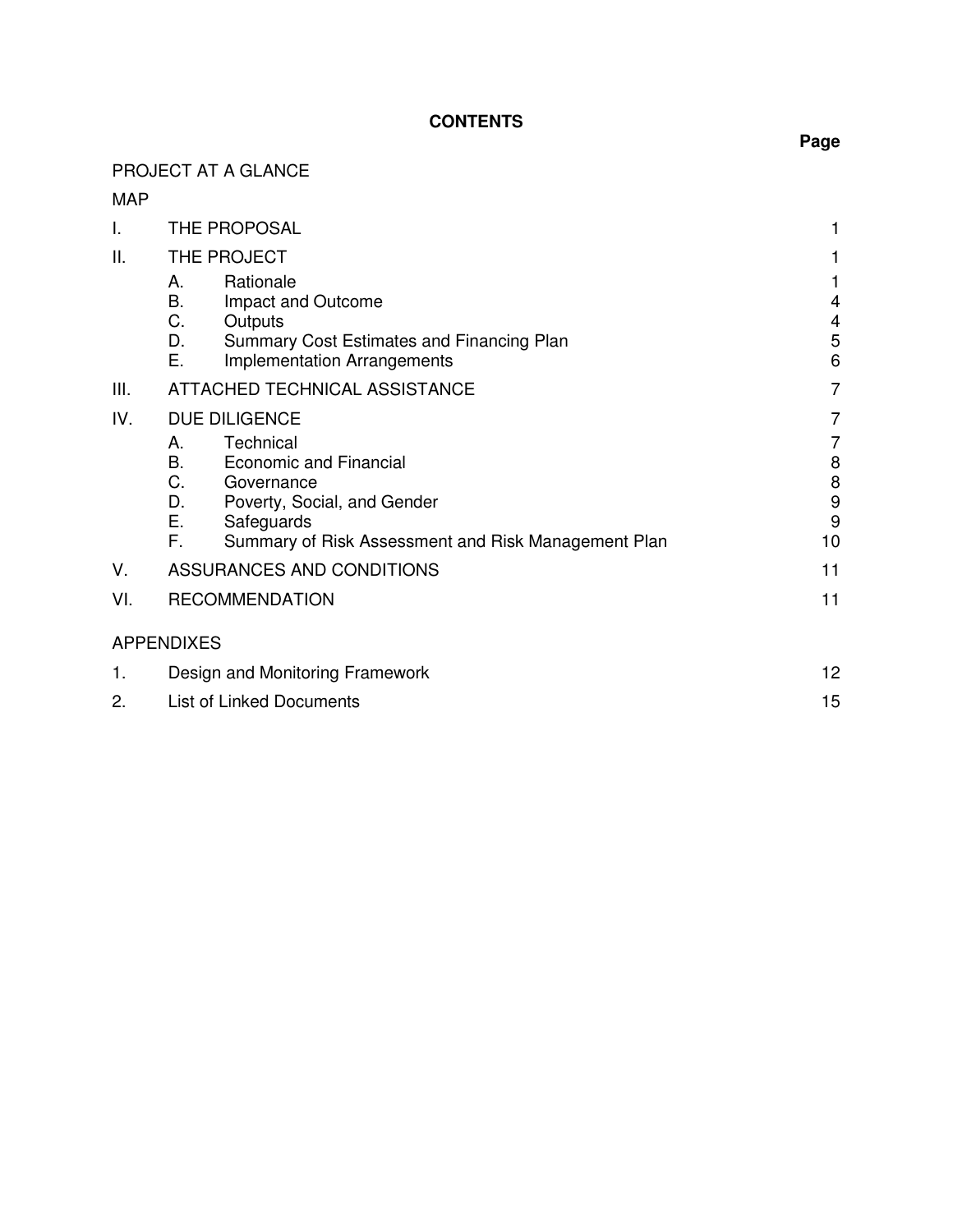# **CONTENTS**

# PROJECT AT A GLANCE

MAP

| I.   | THE PROPOSAL                                                                                                                                                                              |                                             |
|------|-------------------------------------------------------------------------------------------------------------------------------------------------------------------------------------------|---------------------------------------------|
| Ш.   | THE PROJECT                                                                                                                                                                               |                                             |
|      | Rationale<br>А.<br>В.<br>Impact and Outcome<br>C.<br>Outputs<br>D.<br>Summary Cost Estimates and Financing Plan<br>Е.<br><b>Implementation Arrangements</b>                               | 4<br>4<br>$\overline{5}$<br>$6\phantom{1}6$ |
| III. | ATTACHED TECHNICAL ASSISTANCE                                                                                                                                                             | $\overline{7}$                              |
| IV.  | <b>DUE DILIGENCE</b>                                                                                                                                                                      | 7                                           |
|      | Technical<br>А.<br>B.<br>Economic and Financial<br>C.<br>Governance<br>D.<br>Poverty, Social, and Gender<br>Ε.<br>Safeguards<br>F.<br>Summary of Risk Assessment and Risk Management Plan | 7<br>8<br>8<br>$\boldsymbol{9}$<br>9<br>10  |
| V.   | ASSURANCES AND CONDITIONS                                                                                                                                                                 | 11                                          |
| VI.  | <b>RECOMMENDATION</b>                                                                                                                                                                     | 11                                          |
|      | <b>APPENDIXES</b>                                                                                                                                                                         |                                             |
| 1.   | Design and Monitoring Framework                                                                                                                                                           | 12                                          |
| 2.   | <b>List of Linked Documents</b>                                                                                                                                                           | 15                                          |

# **Page**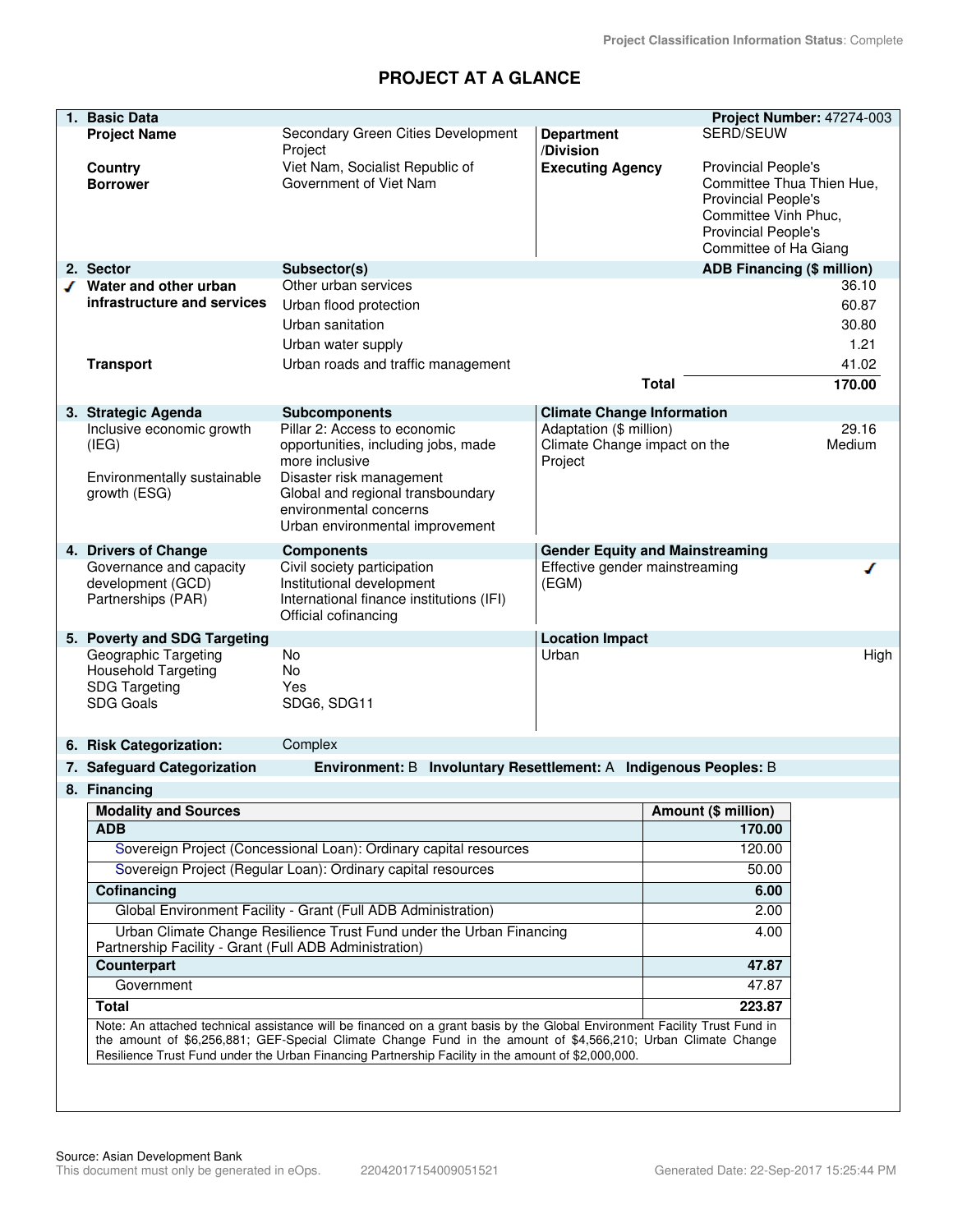# **PROJECT AT A GLANCE**

| 1. | <b>Basic Data</b>                                      |                                                                                                                           |                                        |                                   | Project Number: 47274-003 |
|----|--------------------------------------------------------|---------------------------------------------------------------------------------------------------------------------------|----------------------------------------|-----------------------------------|---------------------------|
|    | <b>Project Name</b>                                    | Secondary Green Cities Development                                                                                        | <b>Department</b>                      | SERD/SEUW                         |                           |
|    |                                                        | Project                                                                                                                   | /Division                              |                                   |                           |
|    | Country                                                | Viet Nam, Socialist Republic of                                                                                           | <b>Executing Agency</b>                | Provincial People's               |                           |
|    | <b>Borrower</b>                                        | Government of Viet Nam                                                                                                    |                                        | Committee Thua Thien Hue,         |                           |
|    |                                                        |                                                                                                                           |                                        | <b>Provincial People's</b>        |                           |
|    |                                                        |                                                                                                                           |                                        | Committee Vinh Phuc,              |                           |
|    |                                                        |                                                                                                                           |                                        | <b>Provincial People's</b>        |                           |
|    |                                                        |                                                                                                                           |                                        | Committee of Ha Giang             |                           |
|    | 2. Sector                                              | Subsector(s)                                                                                                              |                                        | <b>ADB Financing (\$ million)</b> |                           |
|    | $\sqrt{\phantom{a}}$ Water and other urban             | Other urban services                                                                                                      |                                        |                                   | 36.10                     |
|    | infrastructure and services                            |                                                                                                                           |                                        |                                   |                           |
|    |                                                        | Urban flood protection                                                                                                    |                                        |                                   | 60.87                     |
|    |                                                        | Urban sanitation                                                                                                          |                                        |                                   | 30.80                     |
|    |                                                        | Urban water supply                                                                                                        |                                        |                                   | 1.21                      |
|    | <b>Transport</b>                                       | Urban roads and traffic management                                                                                        |                                        |                                   | 41.02                     |
|    |                                                        |                                                                                                                           |                                        |                                   |                           |
|    |                                                        |                                                                                                                           | <b>Total</b>                           |                                   | 170.00                    |
|    |                                                        |                                                                                                                           |                                        |                                   |                           |
|    | 3. Strategic Agenda                                    | <b>Subcomponents</b>                                                                                                      | <b>Climate Change Information</b>      |                                   |                           |
|    | Inclusive economic growth                              | Pillar 2: Access to economic                                                                                              | Adaptation (\$ million)                |                                   | 29.16                     |
|    | (IEG)                                                  | opportunities, including jobs, made                                                                                       | Climate Change impact on the           |                                   | Medium                    |
|    |                                                        | more inclusive                                                                                                            | Project                                |                                   |                           |
|    | Environmentally sustainable                            | Disaster risk management                                                                                                  |                                        |                                   |                           |
|    | growth (ESG)                                           | Global and regional transboundary                                                                                         |                                        |                                   |                           |
|    |                                                        | environmental concerns                                                                                                    |                                        |                                   |                           |
|    |                                                        | Urban environmental improvement                                                                                           |                                        |                                   |                           |
|    | 4. Drivers of Change                                   | <b>Components</b>                                                                                                         | <b>Gender Equity and Mainstreaming</b> |                                   |                           |
|    | Governance and capacity                                | Civil society participation                                                                                               | Effective gender mainstreaming         |                                   |                           |
|    | development (GCD)                                      | Institutional development                                                                                                 | (EGM)                                  |                                   |                           |
|    | Partnerships (PAR)                                     | International finance institutions (IFI)                                                                                  |                                        |                                   |                           |
|    |                                                        | Official cofinancing                                                                                                      |                                        |                                   |                           |
|    |                                                        |                                                                                                                           |                                        |                                   |                           |
|    | 5. Poverty and SDG Targeting                           |                                                                                                                           | <b>Location Impact</b>                 |                                   |                           |
|    | Geographic Targeting                                   | <b>No</b>                                                                                                                 | Urban                                  |                                   | High                      |
|    | <b>Household Targeting</b>                             | No.                                                                                                                       |                                        |                                   |                           |
|    | <b>SDG Targeting</b>                                   | Yes                                                                                                                       |                                        |                                   |                           |
|    | <b>SDG Goals</b>                                       | SDG6, SDG11                                                                                                               |                                        |                                   |                           |
|    |                                                        |                                                                                                                           |                                        |                                   |                           |
|    | 6. Risk Categorization:                                | Complex                                                                                                                   |                                        |                                   |                           |
|    |                                                        |                                                                                                                           |                                        |                                   |                           |
|    | 7. Safeguard Categorization                            | Environment: B Involuntary Resettlement: A Indigenous Peoples: B                                                          |                                        |                                   |                           |
|    | 8. Financing                                           |                                                                                                                           |                                        |                                   |                           |
|    | <b>Modality and Sources</b>                            |                                                                                                                           |                                        | <b>Amount (\$ million)</b>        |                           |
|    | <b>ADB</b>                                             |                                                                                                                           |                                        | 170.00                            |                           |
|    |                                                        |                                                                                                                           |                                        |                                   |                           |
|    |                                                        | Sovereign Project (Concessional Loan): Ordinary capital resources                                                         |                                        | 120.00                            |                           |
|    |                                                        | Sovereign Project (Regular Loan): Ordinary capital resources                                                              |                                        | 50.00                             |                           |
|    | Cofinancing                                            |                                                                                                                           |                                        | 6.00                              |                           |
|    |                                                        |                                                                                                                           |                                        |                                   |                           |
|    |                                                        | Global Environment Facility - Grant (Full ADB Administration)                                                             |                                        | 2.00                              |                           |
|    |                                                        | Urban Climate Change Resilience Trust Fund under the Urban Financing                                                      |                                        | 4.00                              |                           |
|    | Partnership Facility - Grant (Full ADB Administration) |                                                                                                                           |                                        |                                   |                           |
|    | Counterpart                                            |                                                                                                                           |                                        | 47.87                             |                           |
|    | Government                                             |                                                                                                                           |                                        | 47.87                             |                           |
|    |                                                        |                                                                                                                           |                                        |                                   |                           |
|    | <b>Total</b>                                           |                                                                                                                           |                                        | 223.87                            |                           |
|    |                                                        | Note: An attached technical assistance will be financed on a grant basis by the Global Environment Facility Trust Fund in |                                        |                                   |                           |
|    |                                                        | the amount of \$6,256,881; GEF-Special Climate Change Fund in the amount of \$4,566,210; Urban Climate Change             |                                        |                                   |                           |
|    |                                                        | Resilience Trust Fund under the Urban Financing Partnership Facility in the amount of \$2,000,000.                        |                                        |                                   |                           |
|    |                                                        |                                                                                                                           |                                        |                                   |                           |
|    |                                                        |                                                                                                                           |                                        |                                   |                           |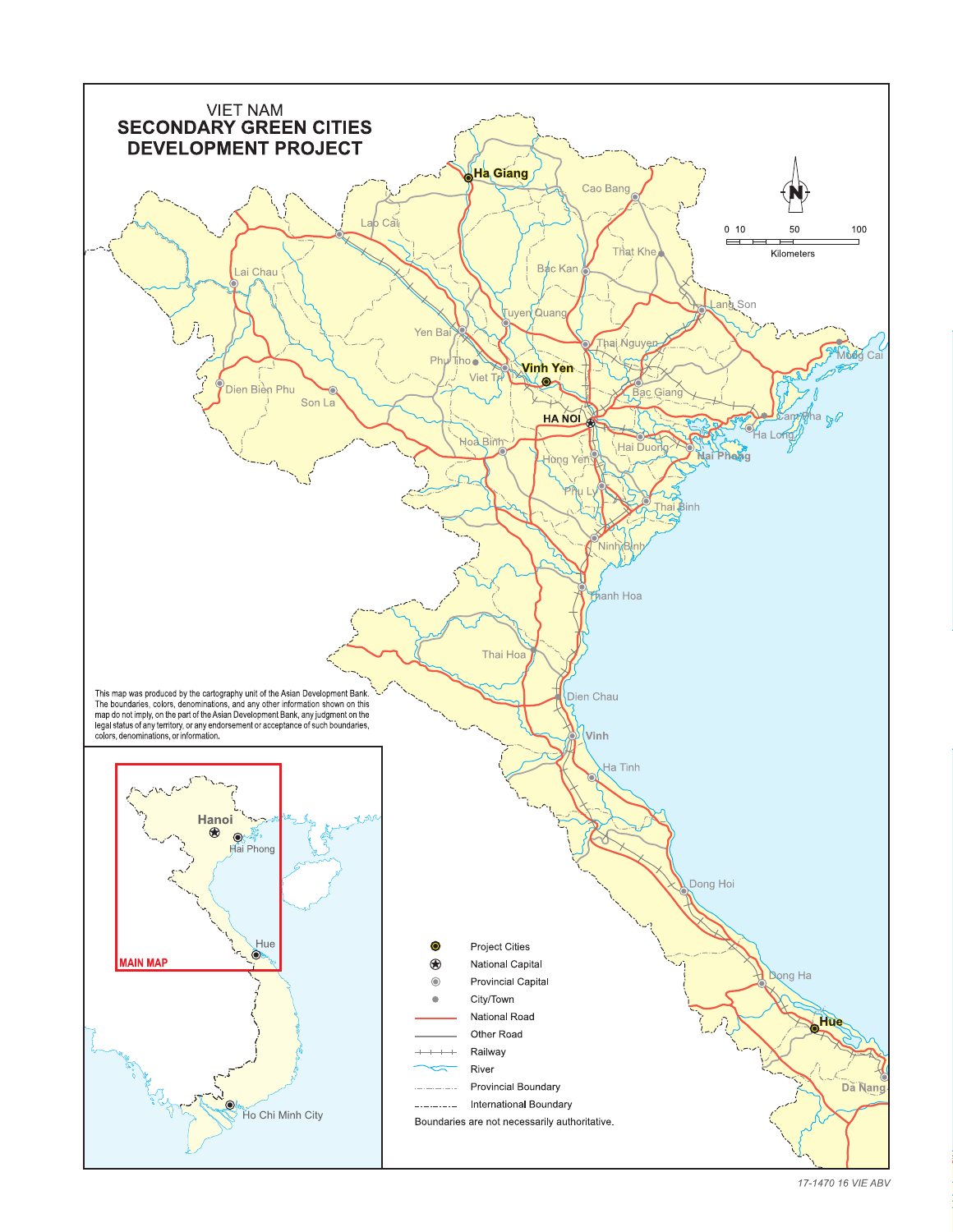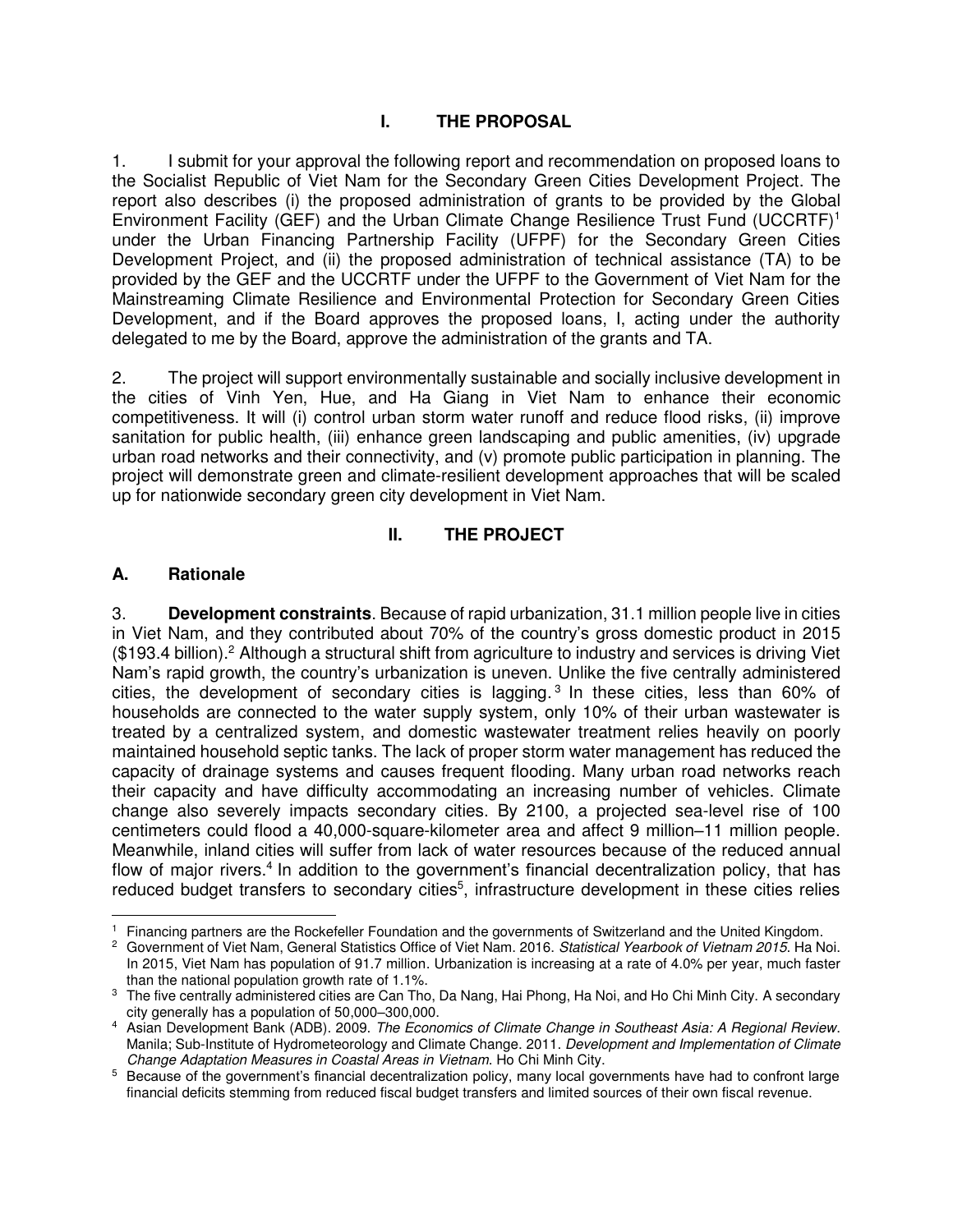# **I. THE PROPOSAL**

1. I submit for your approval the following report and recommendation on proposed loans to the Socialist Republic of Viet Nam for the Secondary Green Cities Development Project. The report also describes (i) the proposed administration of grants to be provided by the Global Environment Facility (GEF) and the Urban Climate Change Resilience Trust Fund (UCCRTF)<sup>1</sup> under the Urban Financing Partnership Facility (UFPF) for the Secondary Green Cities Development Project, and (ii) the proposed administration of technical assistance (TA) to be provided by the GEF and the UCCRTF under the UFPF to the Government of Viet Nam for the Mainstreaming Climate Resilience and Environmental Protection for Secondary Green Cities Development, and if the Board approves the proposed loans, I, acting under the authority delegated to me by the Board, approve the administration of the grants and TA.

2. The project will support environmentally sustainable and socially inclusive development in the cities of Vinh Yen, Hue, and Ha Giang in Viet Nam to enhance their economic competitiveness. It will (i) control urban storm water runoff and reduce flood risks, (ii) improve sanitation for public health, (iii) enhance green landscaping and public amenities, (iv) upgrade urban road networks and their connectivity, and (v) promote public participation in planning. The project will demonstrate green and climate-resilient development approaches that will be scaled up for nationwide secondary green city development in Viet Nam.

# **II. THE PROJECT**

# **A. Rationale**

3. **Development constraints**. Because of rapid urbanization, 31.1 million people live in cities in Viet Nam, and they contributed about 70% of the country's gross domestic product in 2015  $$193.4$  billion).<sup>2</sup> Although a structural shift from agriculture to industry and services is driving Viet Nam's rapid growth, the country's urbanization is uneven. Unlike the five centrally administered cities, the development of secondary cities is lagging.<sup>3</sup> In these cities, less than 60% of households are connected to the water supply system, only 10% of their urban wastewater is treated by a centralized system, and domestic wastewater treatment relies heavily on poorly maintained household septic tanks. The lack of proper storm water management has reduced the capacity of drainage systems and causes frequent flooding. Many urban road networks reach their capacity and have difficulty accommodating an increasing number of vehicles. Climate change also severely impacts secondary cities. By 2100, a projected sea-level rise of 100 centimeters could flood a 40,000-square-kilometer area and affect 9 million–11 million people. Meanwhile, inland cities will suffer from lack of water resources because of the reduced annual flow of major rivers.<sup>4</sup> In addition to the government's financial decentralization policy, that has reduced budget transfers to secondary cities<sup>5</sup>, infrastructure development in these cities relies

 1 Financing partners are the Rockefeller Foundation and the governments of Switzerland and the United Kingdom.

<sup>2</sup> Government of Viet Nam, General Statistics Office of Viet Nam. 2016. *Statistical Yearbook of Vietnam 2015*. Ha Noi. In 2015, Viet Nam has population of 91.7 million. Urbanization is increasing at a rate of 4.0% per year, much faster than the national population growth rate of 1.1%.

 $^3$  The five centrally administered cities are Can Tho, Da Nang, Hai Phong, Ha Noi, and Ho Chi Minh City. A secondary city generally has a population of 50,000–300,000.

<sup>4</sup> Asian Development Bank (ADB). 2009. *The Economics of Climate Change in Southeast Asia: A Regional Review*. Manila; Sub-Institute of Hydrometeorology and Climate Change. 2011. *Development and Implementation of Climate Change Adaptation Measures in Coastal Areas in Vietnam*. Ho Chi Minh City.

<sup>&</sup>lt;sup>5</sup> Because of the government's financial decentralization policy, many local governments have had to confront large financial deficits stemming from reduced fiscal budget transfers and limited sources of their own fiscal revenue.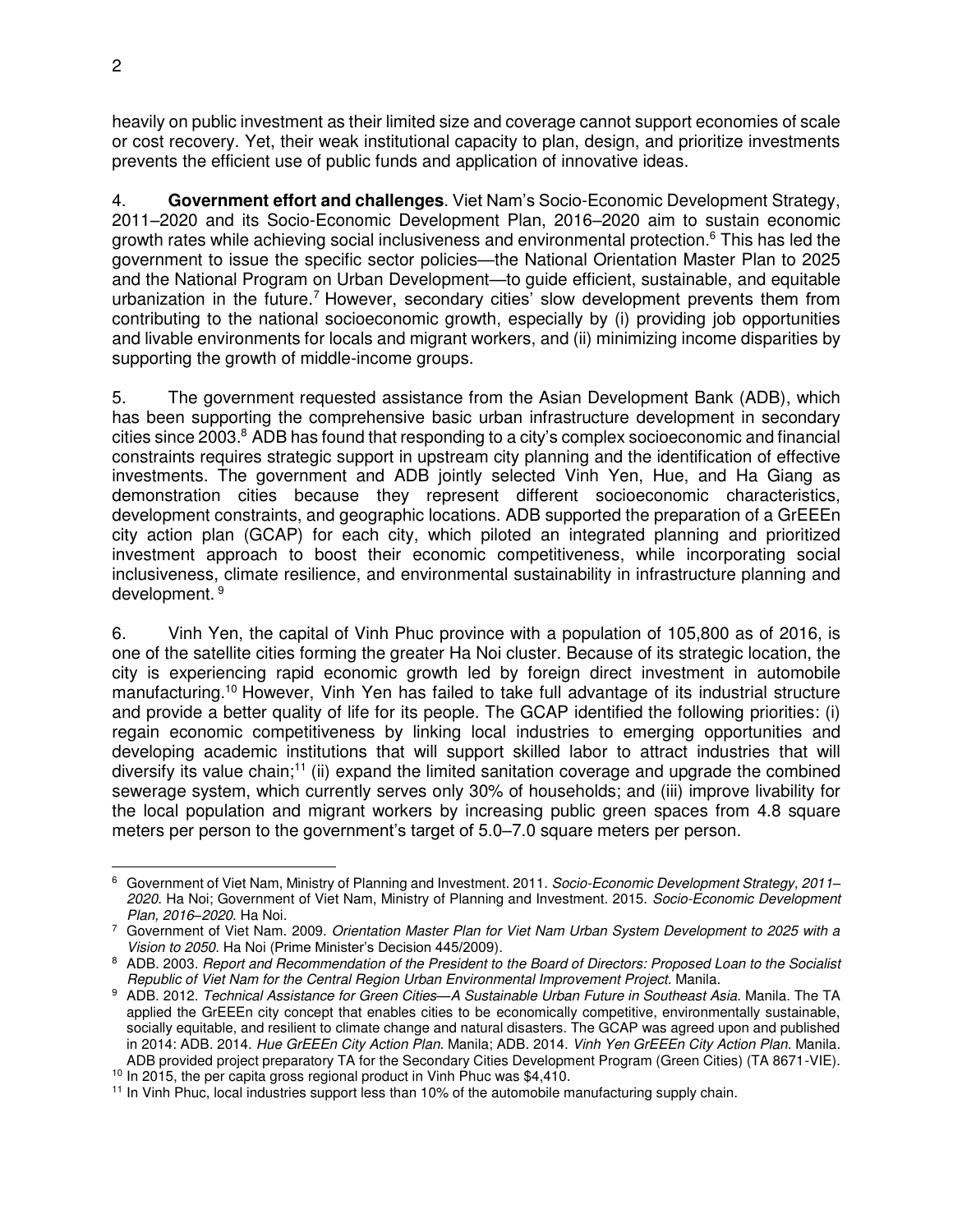heavily on public investment as their limited size and coverage cannot support economies of scale or cost recovery. Yet, their weak institutional capacity to plan, design, and prioritize investments prevents the efficient use of public funds and application of innovative ideas.

4. **Government effort and challenges**. Viet Nam's Socio-Economic Development Strategy, 2011–2020 and its Socio-Economic Development Plan, 2016–2020 aim to sustain economic growth rates while achieving social inclusiveness and environmental protection.<sup>6</sup> This has led the government to issue the specific sector policies—the National Orientation Master Plan to 2025 and the National Program on Urban Development—to guide efficient, sustainable, and equitable urbanization in the future.<sup>7</sup> However, secondary cities' slow development prevents them from contributing to the national socioeconomic growth, especially by (i) providing job opportunities and livable environments for locals and migrant workers, and (ii) minimizing income disparities by supporting the growth of middle-income groups.

5. The government requested assistance from the Asian Development Bank (ADB), which has been supporting the comprehensive basic urban infrastructure development in secondary cities since 2003.<sup>8</sup> ADB has found that responding to a city's complex socioeconomic and financial constraints requires strategic support in upstream city planning and the identification of effective investments. The government and ADB jointly selected Vinh Yen, Hue, and Ha Giang as demonstration cities because they represent different socioeconomic characteristics, development constraints, and geographic locations. ADB supported the preparation of a GrEEEn city action plan (GCAP) for each city, which piloted an integrated planning and prioritized investment approach to boost their economic competitiveness, while incorporating social inclusiveness, climate resilience, and environmental sustainability in infrastructure planning and development.<sup>9</sup>

6. Vinh Yen, the capital of Vinh Phuc province with a population of 105,800 as of 2016, is one of the satellite cities forming the greater Ha Noi cluster. Because of its strategic location, the city is experiencing rapid economic growth led by foreign direct investment in automobile manufacturing.<sup>10</sup> However, Vinh Yen has failed to take full advantage of its industrial structure and provide a better quality of life for its people. The GCAP identified the following priorities: (i) regain economic competitiveness by linking local industries to emerging opportunities and developing academic institutions that will support skilled labor to attract industries that will diversify its value chain;<sup>11</sup> (ii) expand the limited sanitation coverage and upgrade the combined sewerage system, which currently serves only 30% of households; and (iii) improve livability for the local population and migrant workers by increasing public green spaces from 4.8 square meters per person to the government's target of 5.0–7.0 square meters per person.

 $\overline{a}$ 6 Government of Viet Nam, Ministry of Planning and Investment. 2011. *Socio-Economic Development Strategy, 2011– 2020*. Ha Noi; Government of Viet Nam, Ministry of Planning and Investment. 2015. *Socio-Economic Development Plan, 2016–2020*. Ha Noi.

<sup>7</sup> Government of Viet Nam. 2009. *Orientation Master Plan for Viet Nam Urban System Development to 2025 with a Vision to 2050*. Ha Noi (Prime Minister's Decision 445/2009).

<sup>8</sup> ADB. 2003. *Report and Recommendation of the President to the Board of Directors: Proposed Loan to the Socialist Republic of Viet Nam for the Central Region Urban Environmental Improvement Project.* Manila.

<sup>9</sup> ADB. 2012. *Technical Assistance for Green Cities—A Sustainable Urban Future in Southeast Asia*. Manila. The TA applied the GrEEEn city concept that enables cities to be economically competitive, environmentally sustainable, socially equitable, and resilient to climate change and natural disasters. The GCAP was agreed upon and published in 2014: ADB. 2014. *Hue GrEEEn City Action Plan*. Manila; ADB. 2014. *Vinh Yen GrEEEn City Action Plan*. Manila. ADB provided project preparatory TA for the Secondary Cities Development Program (Green Cities) (TA 8671-VIE).

<sup>&</sup>lt;sup>10</sup> In 2015, the per capita gross regional product in Vinh Phuc was \$4,410.

<sup>&</sup>lt;sup>11</sup> In Vinh Phuc, local industries support less than 10% of the automobile manufacturing supply chain.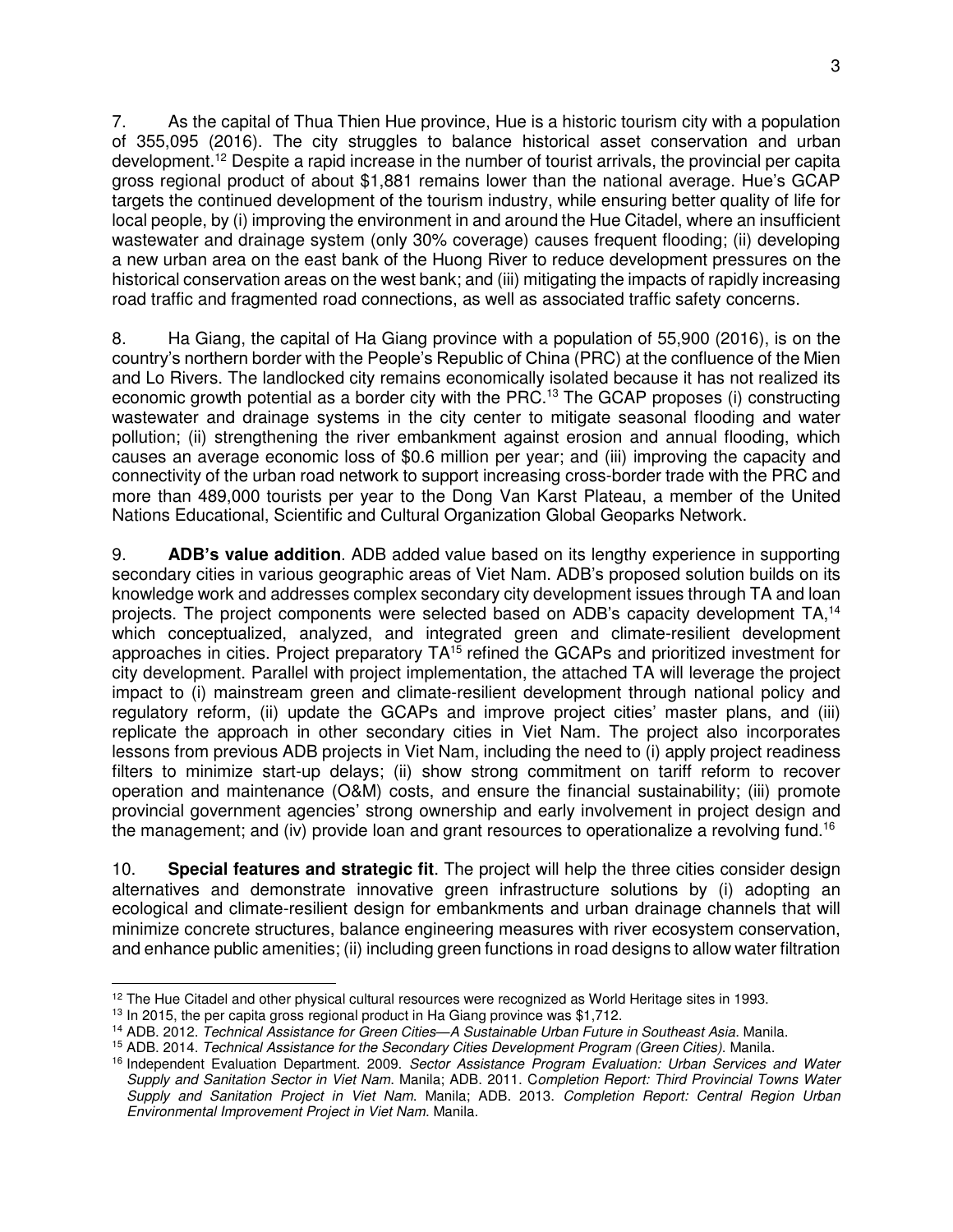7. As the capital of Thua Thien Hue province, Hue is a historic tourism city with a population of 355,095 (2016). The city struggles to balance historical asset conservation and urban development.<sup>12</sup> Despite a rapid increase in the number of tourist arrivals, the provincial per capita gross regional product of about \$1,881 remains lower than the national average. Hue's GCAP targets the continued development of the tourism industry, while ensuring better quality of life for local people, by (i) improving the environment in and around the Hue Citadel, where an insufficient wastewater and drainage system (only 30% coverage) causes frequent flooding; (ii) developing a new urban area on the east bank of the Huong River to reduce development pressures on the historical conservation areas on the west bank; and (iii) mitigating the impacts of rapidly increasing road traffic and fragmented road connections, as well as associated traffic safety concerns.

8. Ha Giang, the capital of Ha Giang province with a population of 55,900 (2016), is on the country's northern border with the People's Republic of China (PRC) at the confluence of the Mien and Lo Rivers. The landlocked city remains economically isolated because it has not realized its economic growth potential as a border city with the PRC.<sup>13</sup> The GCAP proposes (i) constructing wastewater and drainage systems in the city center to mitigate seasonal flooding and water pollution; (ii) strengthening the river embankment against erosion and annual flooding, which causes an average economic loss of \$0.6 million per year; and (iii) improving the capacity and connectivity of the urban road network to support increasing cross-border trade with the PRC and more than 489,000 tourists per year to the Dong Van Karst Plateau, a member of the United Nations Educational, Scientific and Cultural Organization Global Geoparks Network.

9. **ADB's value addition**. ADB added value based on its lengthy experience in supporting secondary cities in various geographic areas of Viet Nam. ADB's proposed solution builds on its knowledge work and addresses complex secondary city development issues through TA and loan projects. The project components were selected based on ADB's capacity development TA,<sup>14</sup> which conceptualized, analyzed, and integrated green and climate-resilient development approaches in cities. Project preparatory TA<sup>15</sup> refined the GCAPs and prioritized investment for city development. Parallel with project implementation, the attached TA will leverage the project impact to (i) mainstream green and climate-resilient development through national policy and regulatory reform, (ii) update the GCAPs and improve project cities' master plans, and (iii) replicate the approach in other secondary cities in Viet Nam. The project also incorporates lessons from previous ADB projects in Viet Nam, including the need to (i) apply project readiness filters to minimize start-up delays; (ii) show strong commitment on tariff reform to recover operation and maintenance (O&M) costs, and ensure the financial sustainability; (iii) promote provincial government agencies' strong ownership and early involvement in project design and the management; and (iv) provide loan and grant resources to operationalize a revolving fund.<sup>16</sup>

10. **Special features and strategic fit**. The project will help the three cities consider design alternatives and demonstrate innovative green infrastructure solutions by (i) adopting an ecological and climate-resilient design for embankments and urban drainage channels that will minimize concrete structures, balance engineering measures with river ecosystem conservation, and enhance public amenities; (ii) including green functions in road designs to allow water filtration

 $\overline{a}$ <sup>12</sup> The Hue Citadel and other physical cultural resources were recognized as World Heritage sites in 1993.

<sup>&</sup>lt;sup>13</sup> In 2015, the per capita gross regional product in Ha Giang province was \$1,712.

<sup>14</sup> ADB. 2012. *Technical Assistance for Green Cities—A Sustainable Urban Future in Southeast Asia*. Manila.

<sup>15</sup> ADB. 2014. *Technical Assistance for the Secondary Cities Development Program (Green Cities)*. Manila.

<sup>16</sup> Independent Evaluation Department. 2009. *Sector Assistance Program Evaluation: Urban Services and Water Supply and Sanitation Sector in Viet Nam*. Manila; ADB. 2011. C*ompletion Report: Third Provincial Towns Water Supply and Sanitation Project in Viet Nam*. Manila; ADB. 2013. *Completion Report: Central Region Urban Environmental Improvement Project in Viet Nam*. Manila.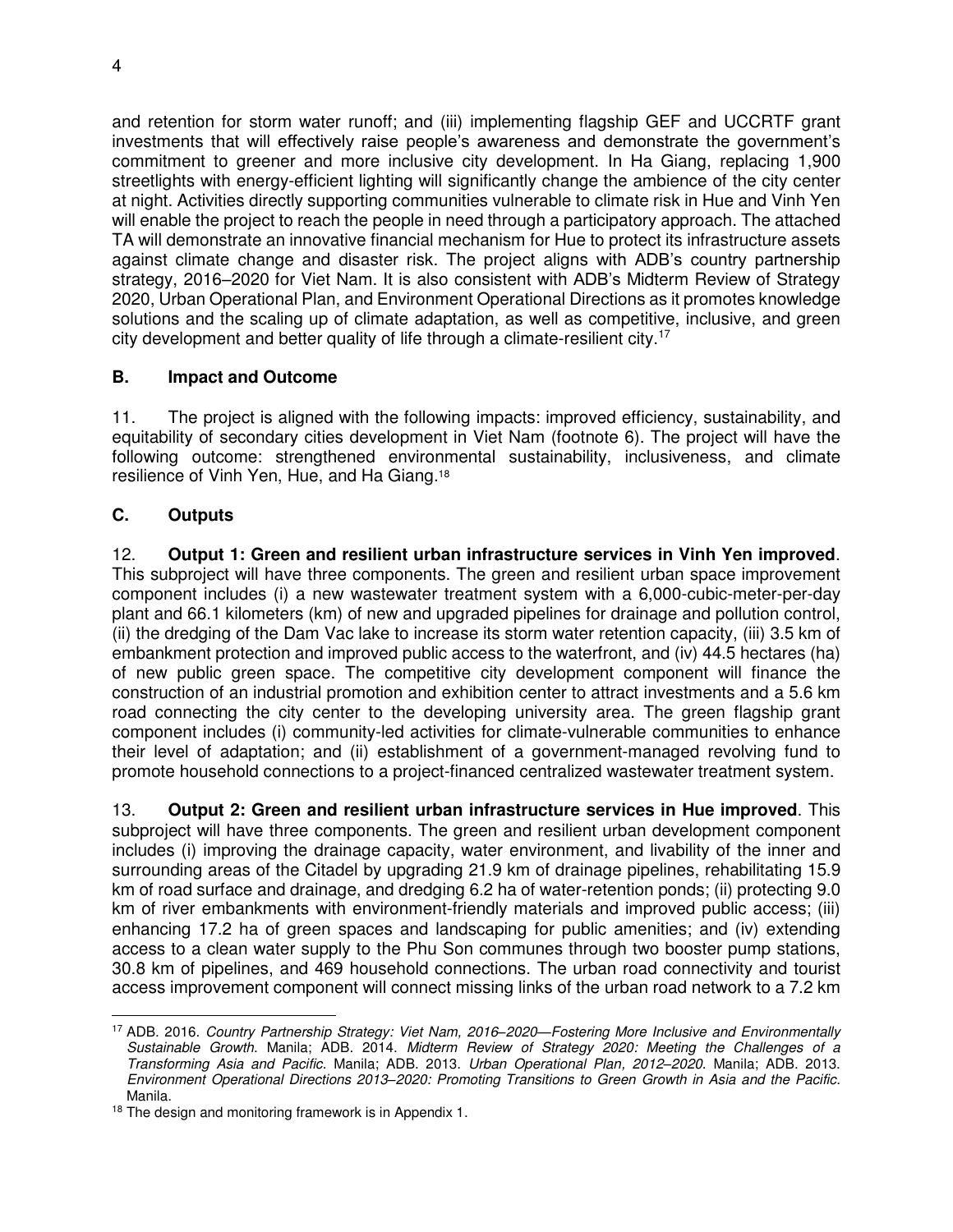and retention for storm water runoff; and (iii) implementing flagship GEF and UCCRTF grant investments that will effectively raise people's awareness and demonstrate the government's commitment to greener and more inclusive city development. In Ha Giang, replacing 1,900 streetlights with energy-efficient lighting will significantly change the ambience of the city center at night. Activities directly supporting communities vulnerable to climate risk in Hue and Vinh Yen will enable the project to reach the people in need through a participatory approach. The attached TA will demonstrate an innovative financial mechanism for Hue to protect its infrastructure assets against climate change and disaster risk. The project aligns with ADB's country partnership strategy, 2016–2020 for Viet Nam. It is also consistent with ADB's Midterm Review of Strategy 2020, Urban Operational Plan, and Environment Operational Directions as it promotes knowledge solutions and the scaling up of climate adaptation, as well as competitive, inclusive, and green city development and better quality of life through a climate-resilient city.<sup>17</sup>

# **B. Impact and Outcome**

11. The project is aligned with the following impacts: improved efficiency, sustainability, and equitability of secondary cities development in Viet Nam (footnote 6). The project will have the following outcome: strengthened environmental sustainability, inclusiveness, and climate resilience of Vinh Yen, Hue, and Ha Giang.<sup>18</sup>

# **C. Outputs**

12. **Output 1: Green and resilient urban infrastructure services in Vinh Yen improved**. This subproject will have three components. The green and resilient urban space improvement component includes (i) a new wastewater treatment system with a 6,000-cubic-meter-per-day plant and 66.1 kilometers (km) of new and upgraded pipelines for drainage and pollution control, (ii) the dredging of the Dam Vac lake to increase its storm water retention capacity, (iii) 3.5 km of embankment protection and improved public access to the waterfront, and (iv) 44.5 hectares (ha) of new public green space. The competitive city development component will finance the construction of an industrial promotion and exhibition center to attract investments and a 5.6 km road connecting the city center to the developing university area. The green flagship grant component includes (i) community-led activities for climate-vulnerable communities to enhance their level of adaptation; and (ii) establishment of a government-managed revolving fund to promote household connections to a project-financed centralized wastewater treatment system.

13. **Output 2: Green and resilient urban infrastructure services in Hue improved**. This subproject will have three components. The green and resilient urban development component includes (i) improving the drainage capacity, water environment, and livability of the inner and surrounding areas of the Citadel by upgrading 21.9 km of drainage pipelines, rehabilitating 15.9 km of road surface and drainage, and dredging 6.2 ha of water-retention ponds; (ii) protecting 9.0 km of river embankments with environment-friendly materials and improved public access; (iii) enhancing 17.2 ha of green spaces and landscaping for public amenities; and (iv) extending access to a clean water supply to the Phu Son communes through two booster pump stations, 30.8 km of pipelines, and 469 household connections. The urban road connectivity and tourist access improvement component will connect missing links of the urban road network to a 7.2 km

 $\overline{a}$ <sup>17</sup> ADB. 2016. *Country Partnership Strategy: Viet Nam, 2016–2020—Fostering More Inclusive and Environmentally Sustainable Growth*. Manila; ADB. 2014. *Midterm Review of Strategy 2020: Meeting the Challenges of a Transforming Asia and Pacific*. Manila; ADB. 2013. *Urban Operational Plan, 2012–2020*. Manila; ADB. 2013. *Environment Operational Directions 2013–2020: Promoting Transitions to Green Growth in Asia and the Pacific*. Manila.

<sup>&</sup>lt;sup>18</sup> The design and monitoring framework is in Appendix 1.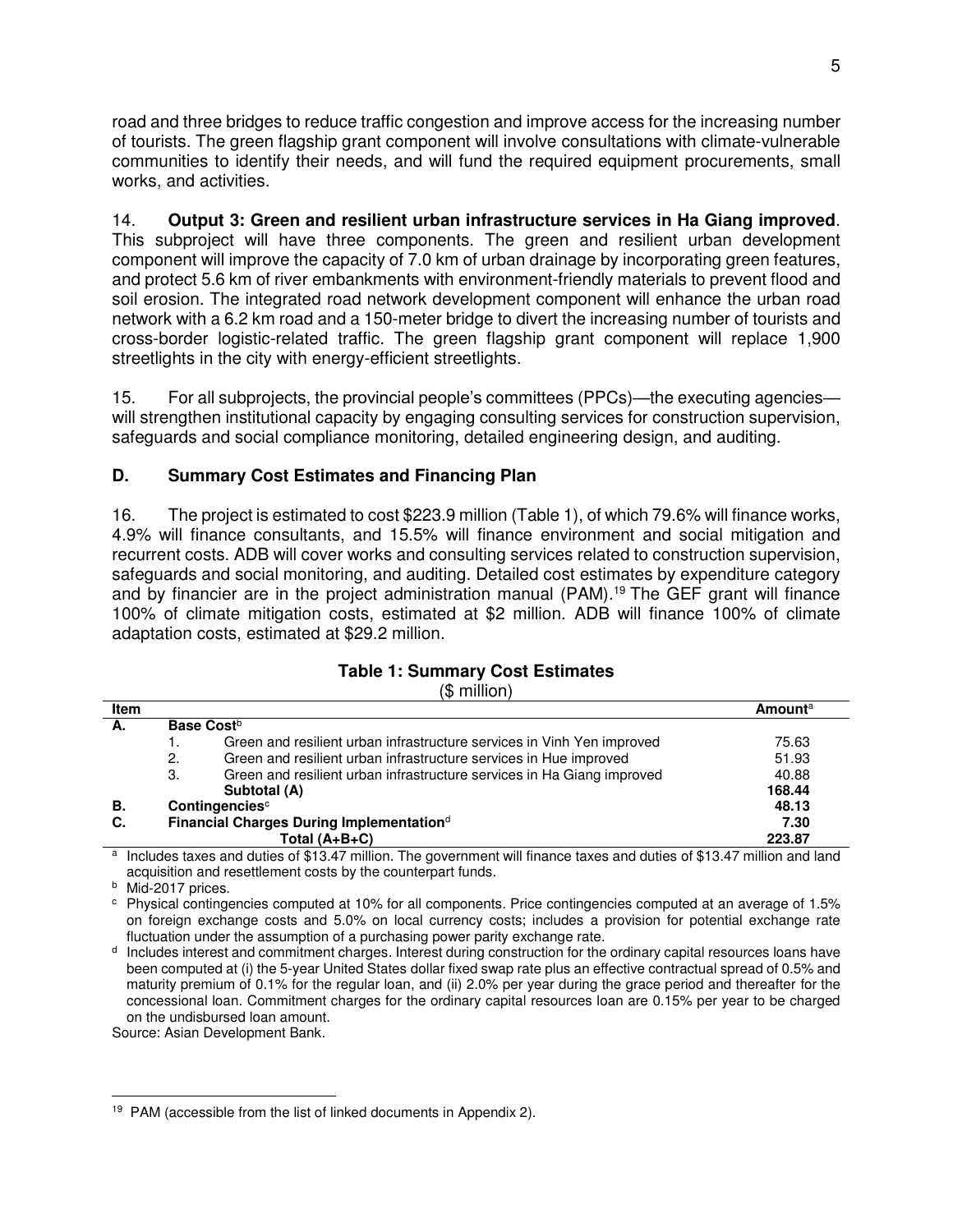road and three bridges to reduce traffic congestion and improve access for the increasing number of tourists. The green flagship grant component will involve consultations with climate-vulnerable communities to identify their needs, and will fund the required equipment procurements, small works, and activities.

14. **Output 3: Green and resilient urban infrastructure services in Ha Giang improved**. This subproject will have three components. The green and resilient urban development component will improve the capacity of 7.0 km of urban drainage by incorporating green features, and protect 5.6 km of river embankments with environment-friendly materials to prevent flood and soil erosion. The integrated road network development component will enhance the urban road network with a 6.2 km road and a 150-meter bridge to divert the increasing number of tourists and cross-border logistic-related traffic. The green flagship grant component will replace 1,900 streetlights in the city with energy-efficient streetlights.

15. For all subprojects, the provincial people's committees (PPCs)—the executing agencies will strengthen institutional capacity by engaging consulting services for construction supervision, safeguards and social compliance monitoring, detailed engineering design, and auditing.

# **D. Summary Cost Estimates and Financing Plan**

16. The project is estimated to cost \$223.9 million (Table 1), of which 79.6% will finance works, 4.9% will finance consultants, and 15.5% will finance environment and social mitigation and recurrent costs. ADB will cover works and consulting services related to construction supervision, safeguards and social monitoring, and auditing. Detailed cost estimates by expenditure category and by financier are in the project administration manual (PAM).<sup>19</sup> The GEF grant will finance 100% of climate mitigation costs, estimated at \$2 million. ADB will finance 100% of climate adaptation costs, estimated at \$29.2 million.

|             |     | , וויטוווווויש                                                         |                            |
|-------------|-----|------------------------------------------------------------------------|----------------------------|
| <b>Item</b> |     |                                                                        | <b>Amount</b> <sup>a</sup> |
| А.          |     | Base Cost <sup>b</sup>                                                 |                            |
|             | . . | Green and resilient urban infrastructure services in Vinh Yen improved | 75.63                      |
|             | 2.  | Green and resilient urban infrastructure services in Hue improved      | 51.93                      |
|             | 3.  | Green and resilient urban infrastructure services in Ha Giang improved | 40.88                      |
|             |     | Subtotal (A)                                                           | 168.44                     |
| В.          |     | Contingencies <sup>c</sup>                                             | 48.13                      |
| C.          |     | Financial Charges During Implementation <sup>d</sup>                   | 7.30                       |
|             |     | Total $(A+B+C)$                                                        | 223.87                     |
| .           |     | <br>$\cdots$<br><br><br>--<br>.                                        | <br>.                      |

#### **Table 1: Summary Cost Estimates**   $($ \$ million)

a Includes taxes and duties of \$13.47 million. The government will finance taxes and duties of \$13.47 million and land acquisition and resettlement costs by the counterpart funds.

b Mid-2017 prices.

c Physical contingencies computed at 10% for all components. Price contingencies computed at an average of 1.5% on foreign exchange costs and 5.0% on local currency costs; includes a provision for potential exchange rate fluctuation under the assumption of a purchasing power parity exchange rate.

<sup>d</sup> Includes interest and commitment charges. Interest during construction for the ordinary capital resources loans have been computed at (i) the 5-year United States dollar fixed swap rate plus an effective contractual spread of 0.5% and maturity premium of 0.1% for the regular loan, and (ii) 2.0% per year during the grace period and thereafter for the concessional loan. Commitment charges for the ordinary capital resources loan are 0.15% per year to be charged on the undisbursed loan amount.

Source: Asian Development Bank.

 $\overline{a}$ <sup>19</sup> PAM (accessible from the list of linked documents in Appendix 2).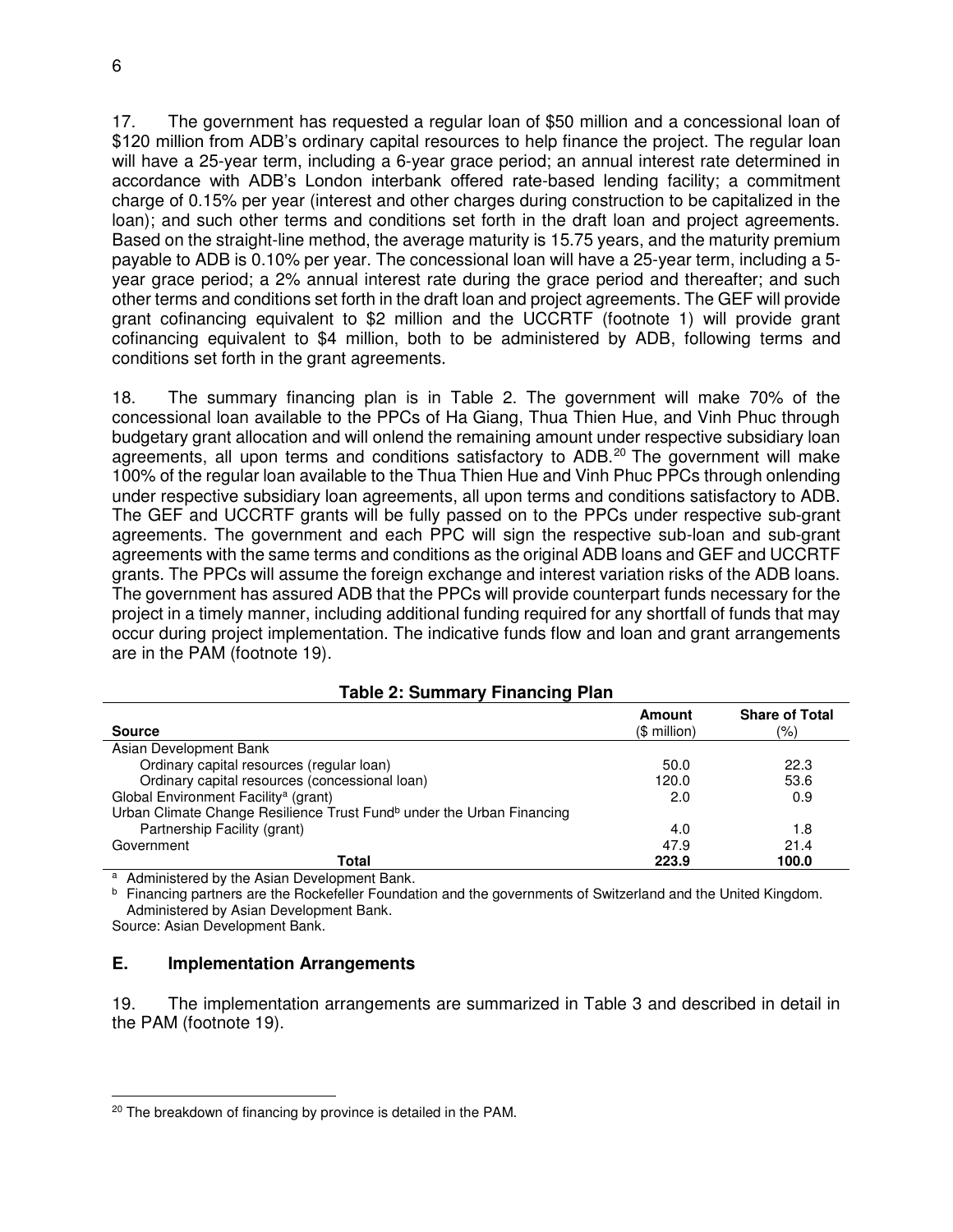17. The government has requested a regular loan of \$50 million and a concessional loan of \$120 million from ADB's ordinary capital resources to help finance the project. The regular loan will have a 25-year term, including a 6-year grace period; an annual interest rate determined in accordance with ADB's London interbank offered rate-based lending facility; a commitment charge of 0.15% per year (interest and other charges during construction to be capitalized in the loan); and such other terms and conditions set forth in the draft loan and project agreements. Based on the straight-line method, the average maturity is 15.75 years, and the maturity premium payable to ADB is 0.10% per year. The concessional loan will have a 25-year term, including a 5 year grace period; a 2% annual interest rate during the grace period and thereafter; and such other terms and conditions set forth in the draft loan and project agreements. The GEF will provide grant cofinancing equivalent to \$2 million and the UCCRTF (footnote 1) will provide grant cofinancing equivalent to \$4 million, both to be administered by ADB, following terms and conditions set forth in the grant agreements.

18. The summary financing plan is in Table 2. The government will make 70% of the concessional loan available to the PPCs of Ha Giang, Thua Thien Hue, and Vinh Phuc through budgetary grant allocation and will onlend the remaining amount under respective subsidiary loan agreements, all upon terms and conditions satisfactory to ADB.<sup>20</sup> The government will make 100% of the regular loan available to the Thua Thien Hue and Vinh Phuc PPCs through onlending under respective subsidiary loan agreements, all upon terms and conditions satisfactory to ADB. The GEF and UCCRTF grants will be fully passed on to the PPCs under respective sub-grant agreements. The government and each PPC will sign the respective sub-loan and sub-grant agreements with the same terms and conditions as the original ADB loans and GEF and UCCRTF grants. The PPCs will assume the foreign exchange and interest variation risks of the ADB loans. The government has assured ADB that the PPCs will provide counterpart funds necessary for the project in a timely manner, including additional funding required for any shortfall of funds that may occur during project implementation. The indicative funds flow and loan and grant arrangements are in the PAM (footnote 19).

| <b>Source</b>                                                                     | Amount<br>$$$ million) | <b>Share of Total</b><br>(9/0) |
|-----------------------------------------------------------------------------------|------------------------|--------------------------------|
| Asian Development Bank                                                            |                        |                                |
| Ordinary capital resources (regular loan)                                         | 50.0                   | 22.3                           |
| Ordinary capital resources (concessional loan)                                    | 120.0                  | 53.6                           |
| Global Environment Facility <sup>a</sup> (grant)                                  | 2.0                    | 0.9                            |
| Urban Climate Change Resilience Trust Fund <sup>b</sup> under the Urban Financing |                        |                                |
| Partnership Facility (grant)                                                      | 4.0                    | 1.8                            |
| Government                                                                        | 47.9                   | 21.4                           |
| Total                                                                             | 223.9                  | 100.0                          |

**Table 2: Summary Financing Plan** 

<sup>a</sup> Administered by the Asian Development Bank.

**b** Financing partners are the Rockefeller Foundation and the governments of Switzerland and the United Kingdom. Administered by Asian Development Bank.

Source: Asian Development Bank.

 $\overline{a}$ 

#### **E. Implementation Arrangements**

19. The implementation arrangements are summarized in Table 3 and described in detail in the PAM (footnote 19).

<sup>&</sup>lt;sup>20</sup> The breakdown of financing by province is detailed in the PAM.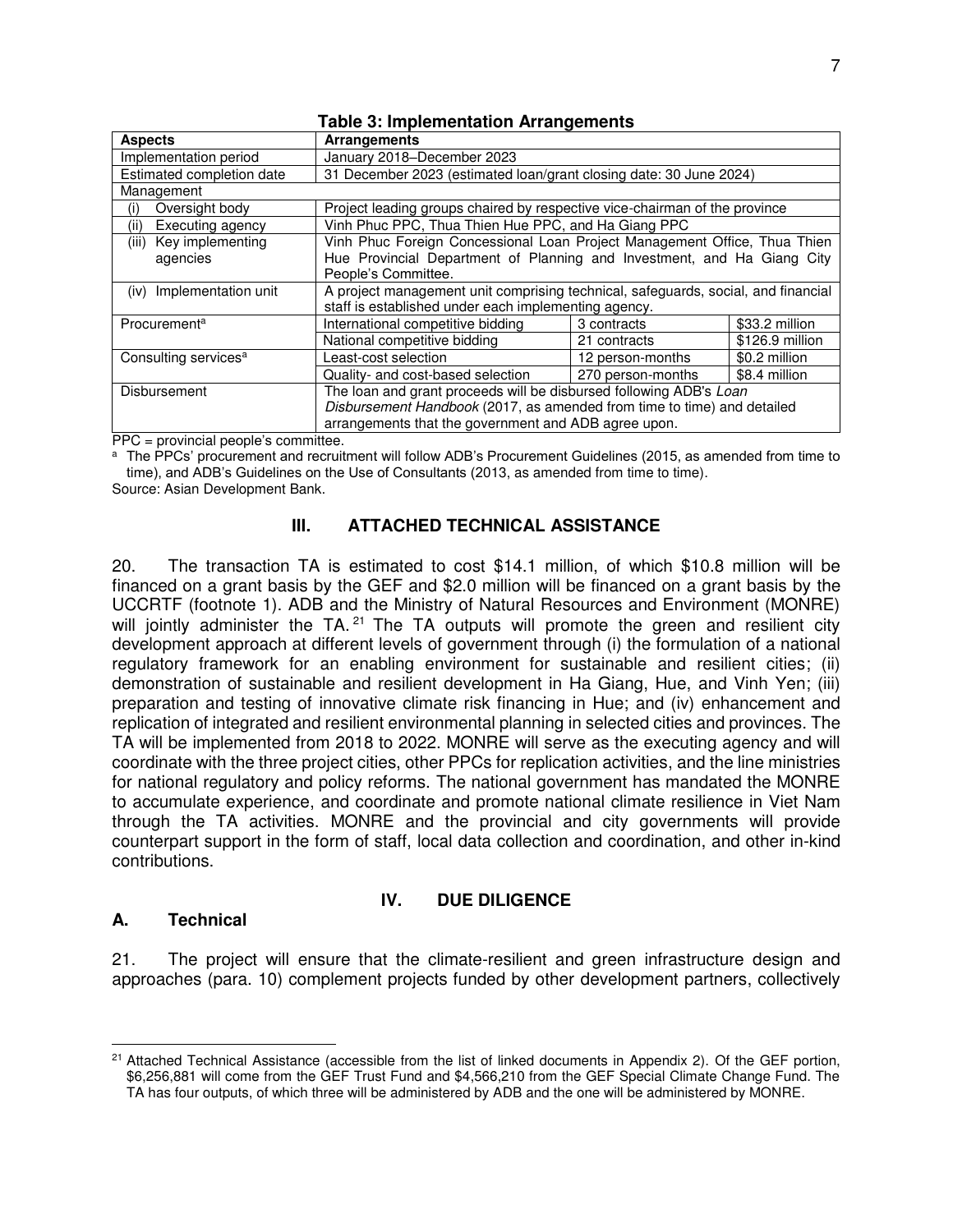| <b>Aspects</b>                                                                     | Arrangements                                                                      |                   |                 |
|------------------------------------------------------------------------------------|-----------------------------------------------------------------------------------|-------------------|-----------------|
| Implementation period                                                              | January 2018-December 2023                                                        |                   |                 |
| Estimated completion date                                                          | 31 December 2023 (estimated loan/grant closing date: 30 June 2024)                |                   |                 |
| Management                                                                         |                                                                                   |                   |                 |
| Oversight body<br>(i)                                                              | Project leading groups chaired by respective vice-chairman of the province        |                   |                 |
| Executing agency<br>(ii)                                                           | Vinh Phuc PPC, Thua Thien Hue PPC, and Ha Giang PPC                               |                   |                 |
| (iii)<br>Key implementing                                                          | Vinh Phuc Foreign Concessional Loan Project Management Office, Thua Thien         |                   |                 |
| agencies                                                                           | Hue Provincial Department of Planning and Investment, and Ha Giang City           |                   |                 |
|                                                                                    | People's Committee.                                                               |                   |                 |
| (iv) Implementation unit                                                           | A project management unit comprising technical, safeguards, social, and financial |                   |                 |
|                                                                                    | staff is established under each implementing agency.                              |                   |                 |
| Procurement <sup>a</sup>                                                           | International competitive bidding                                                 | 3 contracts       | \$33.2 million  |
|                                                                                    | National competitive bidding                                                      | 21 contracts      | \$126.9 million |
| Consulting services <sup>a</sup>                                                   | Least-cost selection                                                              | 12 person-months  | \$0.2 million   |
|                                                                                    | Quality- and cost-based selection                                                 | 270 person-months | \$8.4 million   |
| The loan and grant proceeds will be disbursed following ADB's Loan<br>Disbursement |                                                                                   |                   |                 |
|                                                                                    | Disbursement Handbook (2017, as amended from time to time) and detailed           |                   |                 |
|                                                                                    | arrangements that the government and ADB agree upon.                              |                   |                 |

**Table 3: Implementation Arrangements** 

PPC = provincial people's committee.

<sup>a</sup> The PPCs' procurement and recruitment will follow ADB's Procurement Guidelines (2015, as amended from time to time), and ADB's Guidelines on the Use of Consultants (2013, as amended from time to time).

Source: Asian Development Bank.

#### **III. ATTACHED TECHNICAL ASSISTANCE**

20. The transaction TA is estimated to cost \$14.1 million, of which \$10.8 million will be financed on a grant basis by the GEF and \$2.0 million will be financed on a grant basis by the UCCRTF (footnote 1). ADB and the Ministry of Natural Resources and Environment (MONRE) will jointly administer the TA.<sup>21</sup> The TA outputs will promote the green and resilient city development approach at different levels of government through (i) the formulation of a national regulatory framework for an enabling environment for sustainable and resilient cities; (ii) demonstration of sustainable and resilient development in Ha Giang, Hue, and Vinh Yen; (iii) preparation and testing of innovative climate risk financing in Hue; and (iv) enhancement and replication of integrated and resilient environmental planning in selected cities and provinces. The TA will be implemented from 2018 to 2022. MONRE will serve as the executing agency and will coordinate with the three project cities, other PPCs for replication activities, and the line ministries for national regulatory and policy reforms. The national government has mandated the MONRE to accumulate experience, and coordinate and promote national climate resilience in Viet Nam through the TA activities. MONRE and the provincial and city governments will provide counterpart support in the form of staff, local data collection and coordination, and other in-kind contributions.

#### **IV. DUE DILIGENCE**

**A. Technical**

21. The project will ensure that the climate-resilient and green infrastructure design and approaches (para. 10) complement projects funded by other development partners, collectively

 $\overline{a}$  $21$  Attached Technical Assistance (accessible from the list of linked documents in Appendix 2). Of the GEF portion, \$6,256,881 will come from the GEF Trust Fund and \$4,566,210 from the GEF Special Climate Change Fund. The TA has four outputs, of which three will be administered by ADB and the one will be administered by MONRE.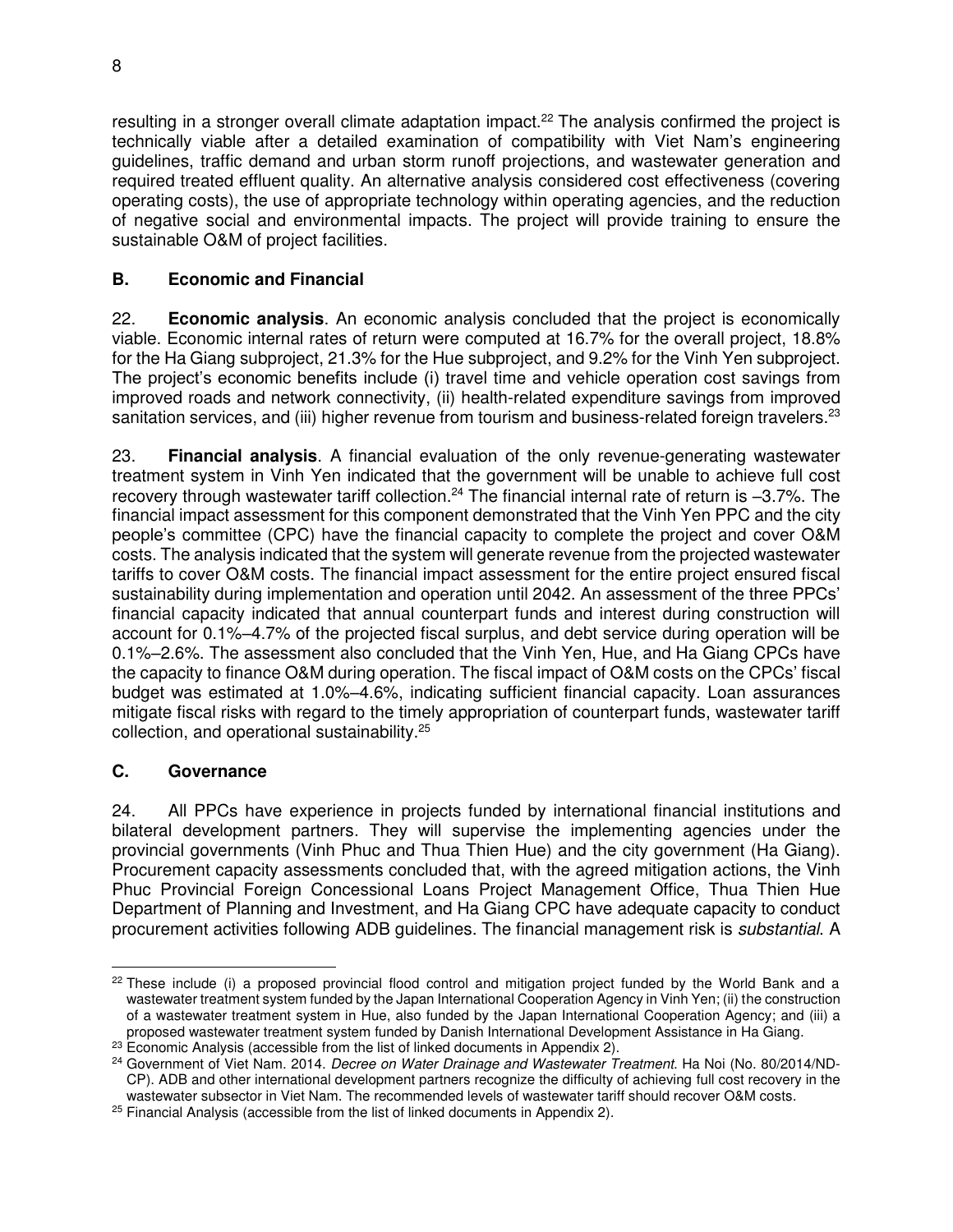resulting in a stronger overall climate adaptation impact.<sup>22</sup> The analysis confirmed the project is technically viable after a detailed examination of compatibility with Viet Nam's engineering guidelines, traffic demand and urban storm runoff projections, and wastewater generation and required treated effluent quality. An alternative analysis considered cost effectiveness (covering operating costs), the use of appropriate technology within operating agencies, and the reduction of negative social and environmental impacts. The project will provide training to ensure the sustainable O&M of project facilities.

# **B. Economic and Financial**

22. **Economic analysis**. An economic analysis concluded that the project is economically viable. Economic internal rates of return were computed at 16.7% for the overall project, 18.8% for the Ha Giang subproject, 21.3% for the Hue subproject, and 9.2% for the Vinh Yen subproject. The project's economic benefits include (i) travel time and vehicle operation cost savings from improved roads and network connectivity, (ii) health-related expenditure savings from improved sanitation services, and (iii) higher revenue from tourism and business-related foreign travelers.<sup>23</sup>

23. **Financial analysis**. A financial evaluation of the only revenue-generating wastewater treatment system in Vinh Yen indicated that the government will be unable to achieve full cost recovery through wastewater tariff collection.<sup>24</sup> The financial internal rate of return is  $-3.7$ %. The financial impact assessment for this component demonstrated that the Vinh Yen PPC and the city people's committee (CPC) have the financial capacity to complete the project and cover O&M costs. The analysis indicated that the system will generate revenue from the projected wastewater tariffs to cover O&M costs. The financial impact assessment for the entire project ensured fiscal sustainability during implementation and operation until 2042. An assessment of the three PPCs' financial capacity indicated that annual counterpart funds and interest during construction will account for 0.1%–4.7% of the projected fiscal surplus, and debt service during operation will be 0.1%–2.6%. The assessment also concluded that the Vinh Yen, Hue, and Ha Giang CPCs have the capacity to finance O&M during operation. The fiscal impact of O&M costs on the CPCs' fiscal budget was estimated at 1.0%–4.6%, indicating sufficient financial capacity. Loan assurances mitigate fiscal risks with regard to the timely appropriation of counterpart funds, wastewater tariff collection, and operational sustainability.<sup>25</sup>

# **C. Governance**

24. All PPCs have experience in projects funded by international financial institutions and bilateral development partners. They will supervise the implementing agencies under the provincial governments (Vinh Phuc and Thua Thien Hue) and the city government (Ha Giang). Procurement capacity assessments concluded that, with the agreed mitigation actions, the Vinh Phuc Provincial Foreign Concessional Loans Project Management Office, Thua Thien Hue Department of Planning and Investment, and Ha Giang CPC have adequate capacity to conduct procurement activities following ADB guidelines. The financial management risk is *substantial*. A

 $\overline{a}$  $22$  These include (i) a proposed provincial flood control and mitigation project funded by the World Bank and a wastewater treatment system funded by the Japan International Cooperation Agency in Vinh Yen; (ii) the construction of a wastewater treatment system in Hue, also funded by the Japan International Cooperation Agency; and (iii) a proposed wastewater treatment system funded by Danish International Development Assistance in Ha Giang. <sup>23</sup> Economic Analysis (accessible from the list of linked documents in Appendix 2).

<sup>24</sup> Government of Viet Nam. 2014. *Decree on Water Drainage and Wastewater Treatment*. Ha Noi (No. 80/2014/ND-CP). ADB and other international development partners recognize the difficulty of achieving full cost recovery in the wastewater subsector in Viet Nam. The recommended levels of wastewater tariff should recover O&M costs.

<sup>&</sup>lt;sup>25</sup> Financial Analysis (accessible from the list of linked documents in Appendix 2).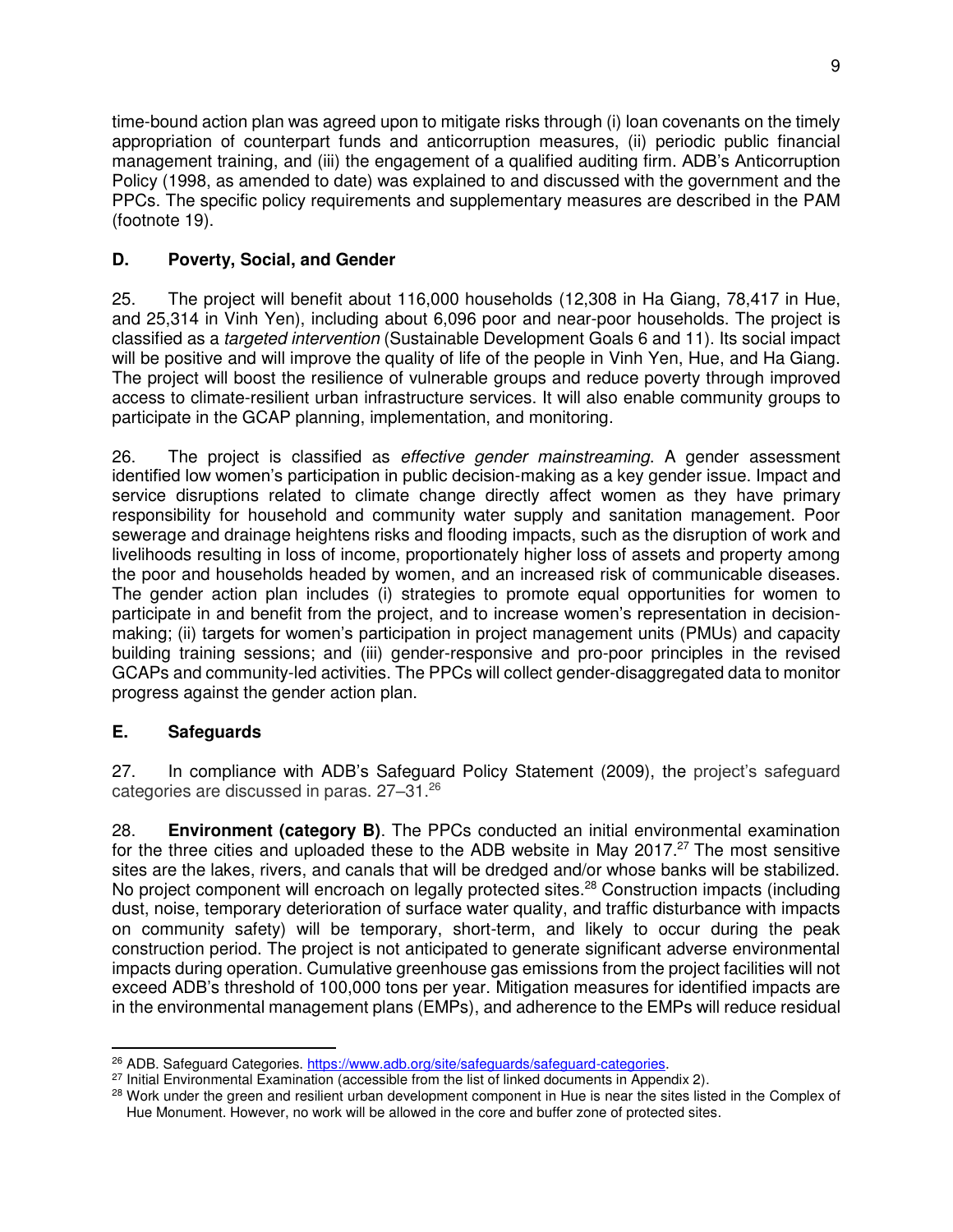time-bound action plan was agreed upon to mitigate risks through (i) loan covenants on the timely appropriation of counterpart funds and anticorruption measures, (ii) periodic public financial management training, and (iii) the engagement of a qualified auditing firm. ADB's Anticorruption Policy (1998, as amended to date) was explained to and discussed with the government and the PPCs. The specific policy requirements and supplementary measures are described in the PAM (footnote 19).

# **D. Poverty, Social, and Gender**

25. The project will benefit about 116,000 households (12,308 in Ha Giang, 78,417 in Hue, and 25,314 in Vinh Yen), including about 6,096 poor and near-poor households. The project is classified as a *targeted intervention* (Sustainable Development Goals 6 and 11). Its social impact will be positive and will improve the quality of life of the people in Vinh Yen, Hue, and Ha Giang. The project will boost the resilience of vulnerable groups and reduce poverty through improved access to climate-resilient urban infrastructure services. It will also enable community groups to participate in the GCAP planning, implementation, and monitoring.

26. The project is classified as *effective gender mainstreaming*. A gender assessment identified low women's participation in public decision-making as a key gender issue. Impact and service disruptions related to climate change directly affect women as they have primary responsibility for household and community water supply and sanitation management. Poor sewerage and drainage heightens risks and flooding impacts, such as the disruption of work and livelihoods resulting in loss of income, proportionately higher loss of assets and property among the poor and households headed by women, and an increased risk of communicable diseases. The gender action plan includes (i) strategies to promote equal opportunities for women to participate in and benefit from the project, and to increase women's representation in decisionmaking; (ii) targets for women's participation in project management units (PMUs) and capacity building training sessions; and (iii) gender-responsive and pro-poor principles in the revised GCAPs and community-led activities. The PPCs will collect gender-disaggregated data to monitor progress against the gender action plan.

# **E. Safeguards**

27. In compliance with ADB's Safeguard Policy Statement (2009), the project's safeguard categories are discussed in paras. 27–31. 26

28. **Environment (category B)**. The PPCs conducted an initial environmental examination for the three cities and uploaded these to the ADB website in May 2017.<sup>27</sup> The most sensitive sites are the lakes, rivers, and canals that will be dredged and/or whose banks will be stabilized. No project component will encroach on legally protected sites.<sup>28</sup> Construction impacts (including dust, noise, temporary deterioration of surface water quality, and traffic disturbance with impacts on community safety) will be temporary, short-term, and likely to occur during the peak construction period. The project is not anticipated to generate significant adverse environmental impacts during operation. Cumulative greenhouse gas emissions from the project facilities will not exceed ADB's threshold of 100,000 tons per year. Mitigation measures for identified impacts are in the environmental management plans (EMPs), and adherence to the EMPs will reduce residual

 <sup>26</sup> ADB. Safeguard Categories. [https://www.adb.org/site/safeguards/safeguard-categories.](https://www.adb.org/site/safeguards/safeguard-categories)

<sup>&</sup>lt;sup>27</sup> Initial Environmental Examination (accessible from the list of linked documents in Appendix 2).

<sup>&</sup>lt;sup>28</sup> Work under the green and resilient urban development component in Hue is near the sites listed in the Complex of Hue Monument. However, no work will be allowed in the core and buffer zone of protected sites.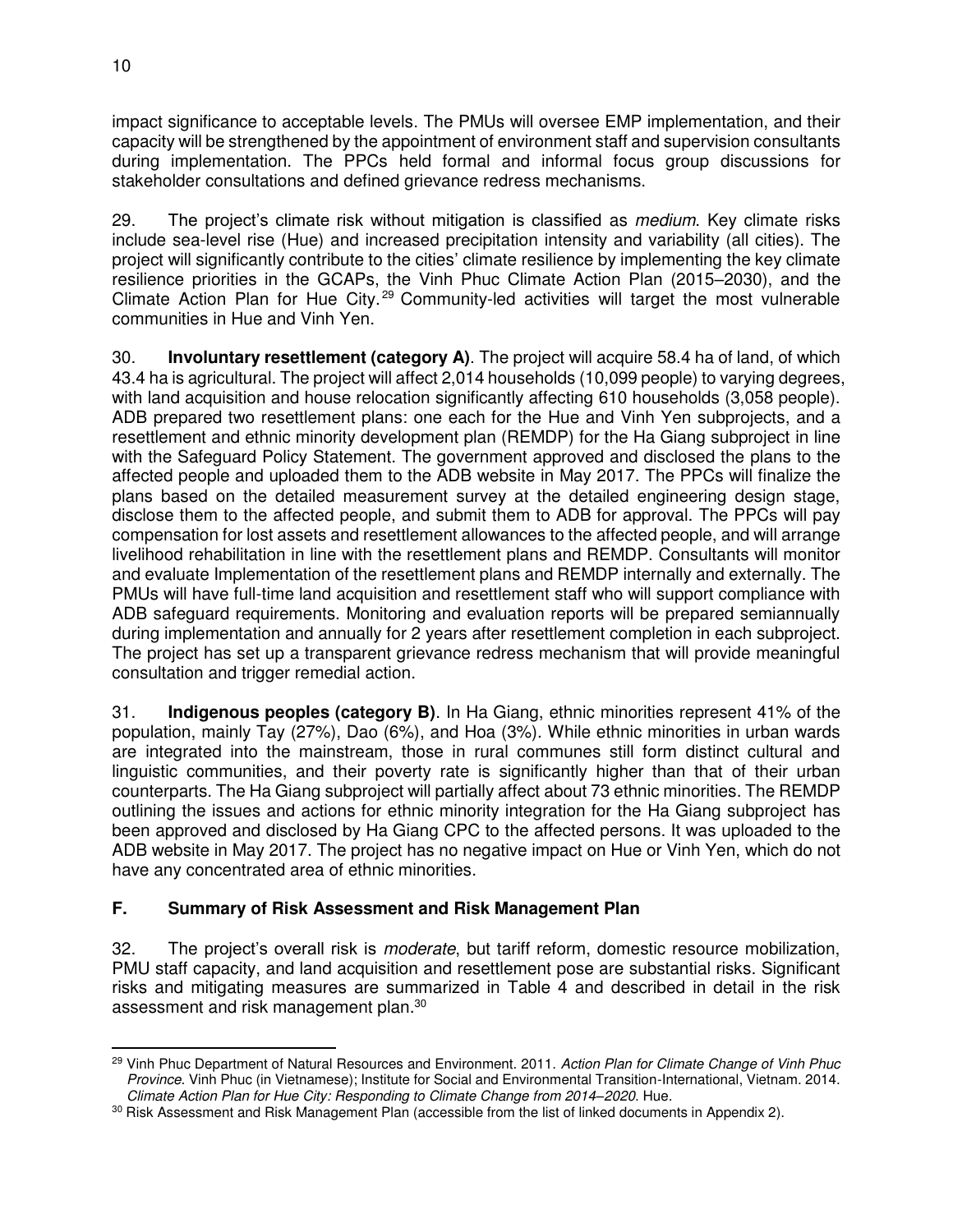impact significance to acceptable levels. The PMUs will oversee EMP implementation, and their capacity will be strengthened by the appointment of environment staff and supervision consultants during implementation. The PPCs held formal and informal focus group discussions for stakeholder consultations and defined grievance redress mechanisms.

29. The project's climate risk without mitigation is classified as *medium*. Key climate risks include sea-level rise (Hue) and increased precipitation intensity and variability (all cities). The project will significantly contribute to the cities' climate resilience by implementing the key climate resilience priorities in the GCAPs, the Vinh Phuc Climate Action Plan (2015–2030), and the Climate Action Plan for Hue City.<sup>29</sup> Community-led activities will target the most vulnerable communities in Hue and Vinh Yen.

30. **Involuntary resettlement (category A)**. The project will acquire 58.4 ha of land, of which 43.4 ha is agricultural. The project will affect 2,014 households (10,099 people) to varying degrees, with land acquisition and house relocation significantly affecting 610 households (3,058 people). ADB prepared two resettlement plans: one each for the Hue and Vinh Yen subprojects, and a resettlement and ethnic minority development plan (REMDP) for the Ha Giang subproject in line with the Safeguard Policy Statement. The government approved and disclosed the plans to the affected people and uploaded them to the ADB website in May 2017. The PPCs will finalize the plans based on the detailed measurement survey at the detailed engineering design stage, disclose them to the affected people, and submit them to ADB for approval. The PPCs will pay compensation for lost assets and resettlement allowances to the affected people, and will arrange livelihood rehabilitation in line with the resettlement plans and REMDP. Consultants will monitor and evaluate Implementation of the resettlement plans and REMDP internally and externally. The PMUs will have full-time land acquisition and resettlement staff who will support compliance with ADB safeguard requirements. Monitoring and evaluation reports will be prepared semiannually during implementation and annually for 2 years after resettlement completion in each subproject. The project has set up a transparent grievance redress mechanism that will provide meaningful consultation and trigger remedial action.

31. **Indigenous peoples (category B)**. In Ha Giang, ethnic minorities represent 41% of the population, mainly Tay (27%), Dao (6%), and Hoa (3%). While ethnic minorities in urban wards are integrated into the mainstream, those in rural communes still form distinct cultural and linguistic communities, and their poverty rate is significantly higher than that of their urban counterparts. The Ha Giang subproject will partially affect about 73 ethnic minorities. The REMDP outlining the issues and actions for ethnic minority integration for the Ha Giang subproject has been approved and disclosed by Ha Giang CPC to the affected persons. It was uploaded to the ADB website in May 2017. The project has no negative impact on Hue or Vinh Yen, which do not have any concentrated area of ethnic minorities.

# **F. Summary of Risk Assessment and Risk Management Plan**

32. The project's overall risk is *moderate*, but tariff reform, domestic resource mobilization, PMU staff capacity, and land acquisition and resettlement pose are substantial risks. Significant risks and mitigating measures are summarized in Table 4 and described in detail in the risk assessment and risk management plan.<sup>30</sup>

 <sup>29</sup> Vinh Phuc Department of Natural Resources and Environment. 2011. *Action Plan for Climate Change of Vinh Phuc Province*. Vinh Phuc (in Vietnamese); Institute for Social and Environmental Transition-International, Vietnam. 2014. *Climate Action Plan for Hue City: Responding to Climate Change from 2014–2020*. Hue.

<sup>30</sup> Risk Assessment and Risk Management Plan (accessible from the list of linked documents in Appendix 2).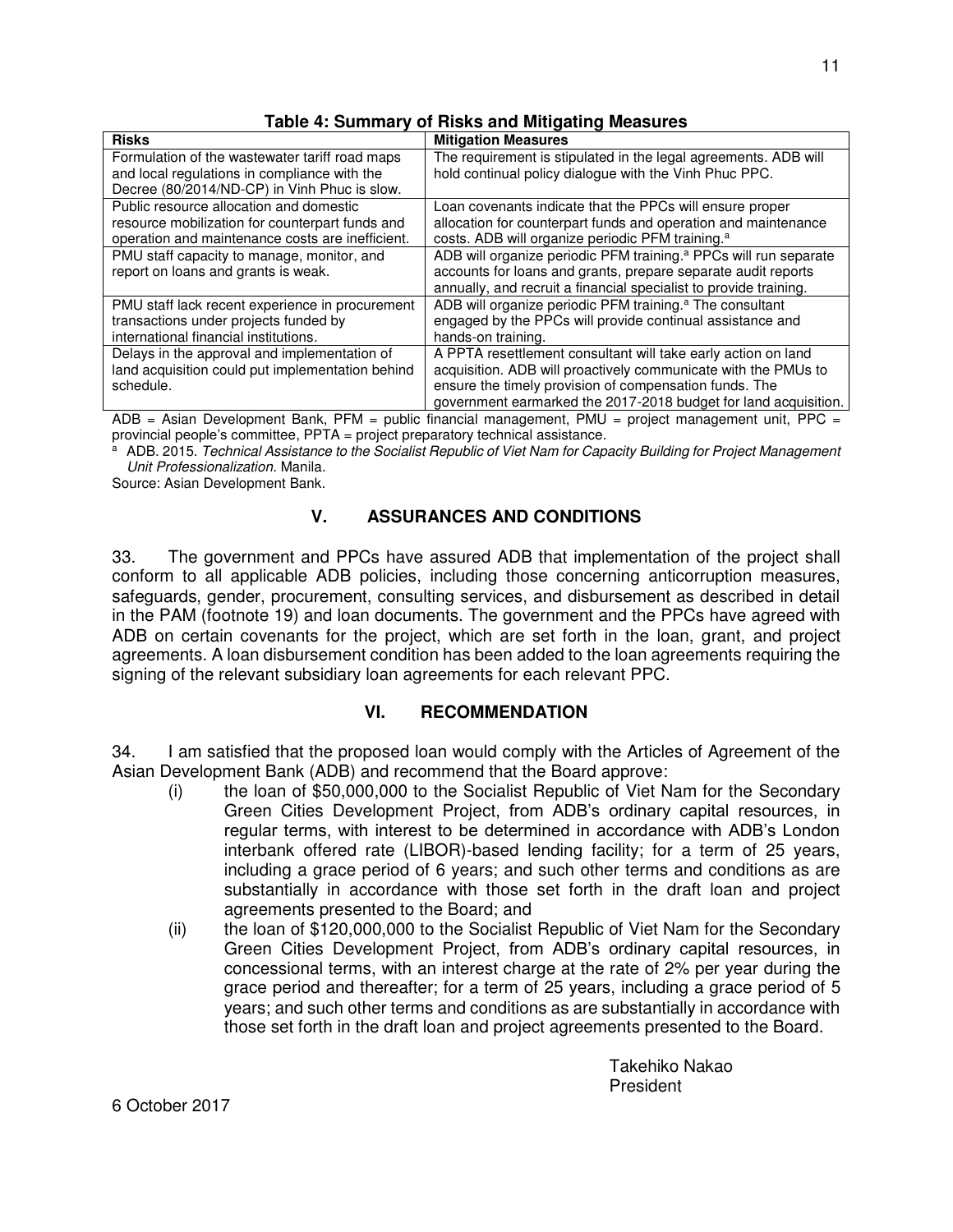| <b>Risks</b>                                     | <b>Mitigation Measures</b>                                                   |
|--------------------------------------------------|------------------------------------------------------------------------------|
| Formulation of the wastewater tariff road maps   | The requirement is stipulated in the legal agreements. ADB will              |
| and local regulations in compliance with the     | hold continual policy dialogue with the Vinh Phuc PPC.                       |
| Decree (80/2014/ND-CP) in Vinh Phuc is slow.     |                                                                              |
| Public resource allocation and domestic          | Loan covenants indicate that the PPCs will ensure proper                     |
| resource mobilization for counterpart funds and  | allocation for counterpart funds and operation and maintenance               |
| operation and maintenance costs are inefficient. | costs. ADB will organize periodic PFM training. <sup>a</sup>                 |
| PMU staff capacity to manage, monitor, and       | ADB will organize periodic PFM training. <sup>a</sup> PPCs will run separate |
| report on loans and grants is weak.              | accounts for loans and grants, prepare separate audit reports                |
|                                                  | annually, and recruit a financial specialist to provide training.            |
| PMU staff lack recent experience in procurement  | ADB will organize periodic PFM training. <sup>a</sup> The consultant         |
| transactions under projects funded by            | engaged by the PPCs will provide continual assistance and                    |
| international financial institutions.            | hands-on training.                                                           |
| Delays in the approval and implementation of     | A PPTA resettlement consultant will take early action on land                |
| land acquisition could put implementation behind | acquisition. ADB will proactively communicate with the PMUs to               |
| schedule.                                        | ensure the timely provision of compensation funds. The                       |
|                                                  | government earmarked the 2017-2018 budget for land acquisition.              |

# **Table 4: Summary of Risks and Mitigating Measures**

ADB = Asian Development Bank, PFM = public financial management, PMU = project management unit, PPC = provincial people's committee, PPTA = project preparatory technical assistance.

a ADB. 2015. *Technical Assistance to the Socialist Republic of Viet Nam for Capacity Building for Project Management Unit Professionalization*. Manila.

Source: Asian Development Bank.

#### **V. ASSURANCES AND CONDITIONS**

33. The government and PPCs have assured ADB that implementation of the project shall conform to all applicable ADB policies, including those concerning anticorruption measures, safeguards, gender, procurement, consulting services, and disbursement as described in detail in the PAM (footnote 19) and loan documents. The government and the PPCs have agreed with ADB on certain covenants for the project, which are set forth in the loan, grant, and project agreements. A loan disbursement condition has been added to the loan agreements requiring the signing of the relevant subsidiary loan agreements for each relevant PPC.

#### **VI. RECOMMENDATION**

34. I am satisfied that the proposed loan would comply with the Articles of Agreement of the Asian Development Bank (ADB) and recommend that the Board approve:

- (i) the loan of \$50,000,000 to the Socialist Republic of Viet Nam for the Secondary Green Cities Development Project, from ADB's ordinary capital resources, in regular terms, with interest to be determined in accordance with ADB's London interbank offered rate (LIBOR)-based lending facility; for a term of 25 years, including a grace period of 6 years; and such other terms and conditions as are substantially in accordance with those set forth in the draft loan and project agreements presented to the Board; and
- (ii) the loan of \$120,000,000 to the Socialist Republic of Viet Nam for the Secondary Green Cities Development Project, from ADB's ordinary capital resources, in concessional terms, with an interest charge at the rate of 2% per year during the grace period and thereafter; for a term of 25 years, including a grace period of 5 years; and such other terms and conditions as are substantially in accordance with those set forth in the draft loan and project agreements presented to the Board.

Takehiko Nakao President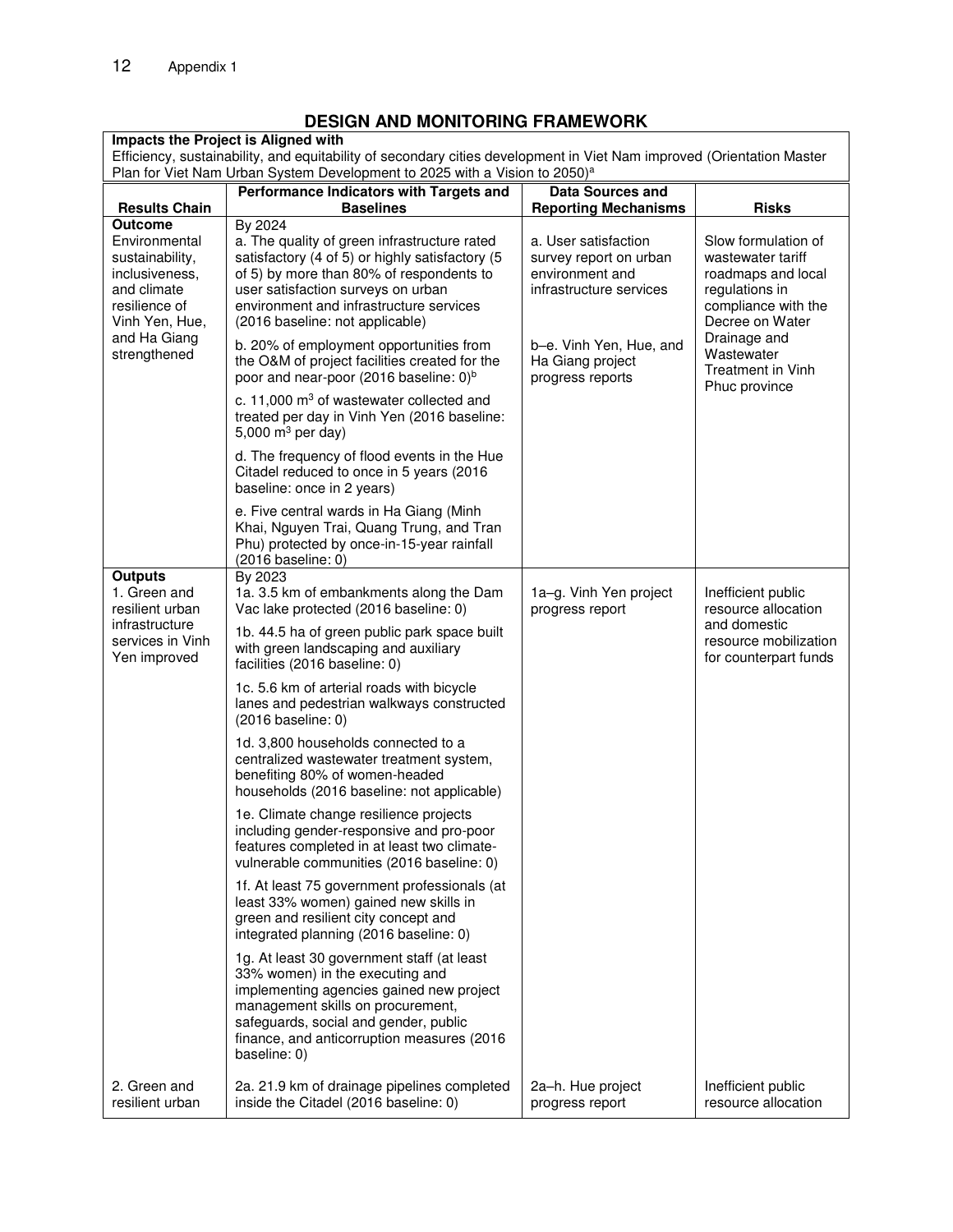### **DESIGN AND MONITORING FRAMEWORK**

**Impacts the Project is Aligned with** Efficiency, sustainability, and equitability of secondary cities development in Viet Nam improved (Orientation Master Plan for Viet Nam Urban System Development to 2025 with a Vision to 2050)<sup>a</sup>

|                                                                                                      | Performance Indicators with Targets and                                                                                                                                                                                                                               | <b>Data Sources and</b>                                                                      |                                                                                                                                                                                                       |
|------------------------------------------------------------------------------------------------------|-----------------------------------------------------------------------------------------------------------------------------------------------------------------------------------------------------------------------------------------------------------------------|----------------------------------------------------------------------------------------------|-------------------------------------------------------------------------------------------------------------------------------------------------------------------------------------------------------|
| <b>Results Chain</b>                                                                                 | <b>Baselines</b>                                                                                                                                                                                                                                                      | <b>Reporting Mechanisms</b>                                                                  | <b>Risks</b>                                                                                                                                                                                          |
| <b>Outcome</b>                                                                                       | By 2024                                                                                                                                                                                                                                                               |                                                                                              |                                                                                                                                                                                                       |
| Environmental<br>sustainability,<br>inclusiveness,<br>and climate<br>resilience of<br>Vinh Yen, Hue, | a. The quality of green infrastructure rated<br>satisfactory (4 of 5) or highly satisfactory (5<br>of 5) by more than 80% of respondents to<br>user satisfaction surveys on urban<br>environment and infrastructure services<br>(2016 baseline: not applicable)       | a. User satisfaction<br>survey report on urban<br>environment and<br>infrastructure services | Slow formulation of<br>wastewater tariff<br>roadmaps and local<br>regulations in<br>compliance with the<br>Decree on Water<br>Drainage and<br>Wastewater<br><b>Treatment in Vinh</b><br>Phuc province |
| and Ha Giang<br>strengthened                                                                         | b. 20% of employment opportunities from<br>the O&M of project facilities created for the<br>poor and near-poor (2016 baseline: 0) <sup>b</sup>                                                                                                                        | b-e. Vinh Yen, Hue, and<br>Ha Giang project<br>progress reports                              |                                                                                                                                                                                                       |
|                                                                                                      | c. 11,000 m <sup>3</sup> of wastewater collected and<br>treated per day in Vinh Yen (2016 baseline:<br>5,000 $m^3$ per day)                                                                                                                                           |                                                                                              |                                                                                                                                                                                                       |
|                                                                                                      | d. The frequency of flood events in the Hue<br>Citadel reduced to once in 5 years (2016<br>baseline: once in 2 years)                                                                                                                                                 |                                                                                              |                                                                                                                                                                                                       |
|                                                                                                      | e. Five central wards in Ha Giang (Minh<br>Khai, Nguyen Trai, Quang Trung, and Tran<br>Phu) protected by once-in-15-year rainfall<br>$(2016 \text{ baseline: 0})$                                                                                                     |                                                                                              |                                                                                                                                                                                                       |
| <b>Outputs</b><br>1. Green and<br>resilient urban                                                    | By 2023<br>1a. 3.5 km of embankments along the Dam<br>Vac lake protected (2016 baseline: 0)                                                                                                                                                                           | 1a-g. Vinh Yen project<br>progress report                                                    | Inefficient public<br>resource allocation                                                                                                                                                             |
| infrastructure<br>services in Vinh<br>Yen improved                                                   | 1b. 44.5 ha of green public park space built<br>with green landscaping and auxiliary<br>facilities (2016 baseline: 0)                                                                                                                                                 |                                                                                              | and domestic<br>resource mobilization<br>for counterpart funds                                                                                                                                        |
|                                                                                                      | 1c. 5.6 km of arterial roads with bicycle<br>lanes and pedestrian walkways constructed<br>(2016 baseline: 0)                                                                                                                                                          |                                                                                              |                                                                                                                                                                                                       |
|                                                                                                      | 1d. 3,800 households connected to a<br>centralized wastewater treatment system,<br>benefiting 80% of women-headed<br>households (2016 baseline: not applicable)                                                                                                       |                                                                                              |                                                                                                                                                                                                       |
|                                                                                                      | 1e. Climate change resilience projects<br>including gender-responsive and pro-poor<br>features completed in at least two climate-<br>vulnerable communities (2016 baseline: 0)                                                                                        |                                                                                              |                                                                                                                                                                                                       |
|                                                                                                      | 1f. At least 75 government professionals (at<br>least 33% women) gained new skills in<br>green and resilient city concept and<br>integrated planning (2016 baseline: 0)                                                                                               |                                                                                              |                                                                                                                                                                                                       |
|                                                                                                      | 1g. At least 30 government staff (at least<br>33% women) in the executing and<br>implementing agencies gained new project<br>management skills on procurement,<br>safeguards, social and gender, public<br>finance, and anticorruption measures (2016<br>baseline: 0) |                                                                                              |                                                                                                                                                                                                       |
| 2. Green and<br>resilient urban                                                                      | 2a. 21.9 km of drainage pipelines completed<br>inside the Citadel (2016 baseline: 0)                                                                                                                                                                                  | 2a-h. Hue project<br>progress report                                                         | Inefficient public<br>resource allocation                                                                                                                                                             |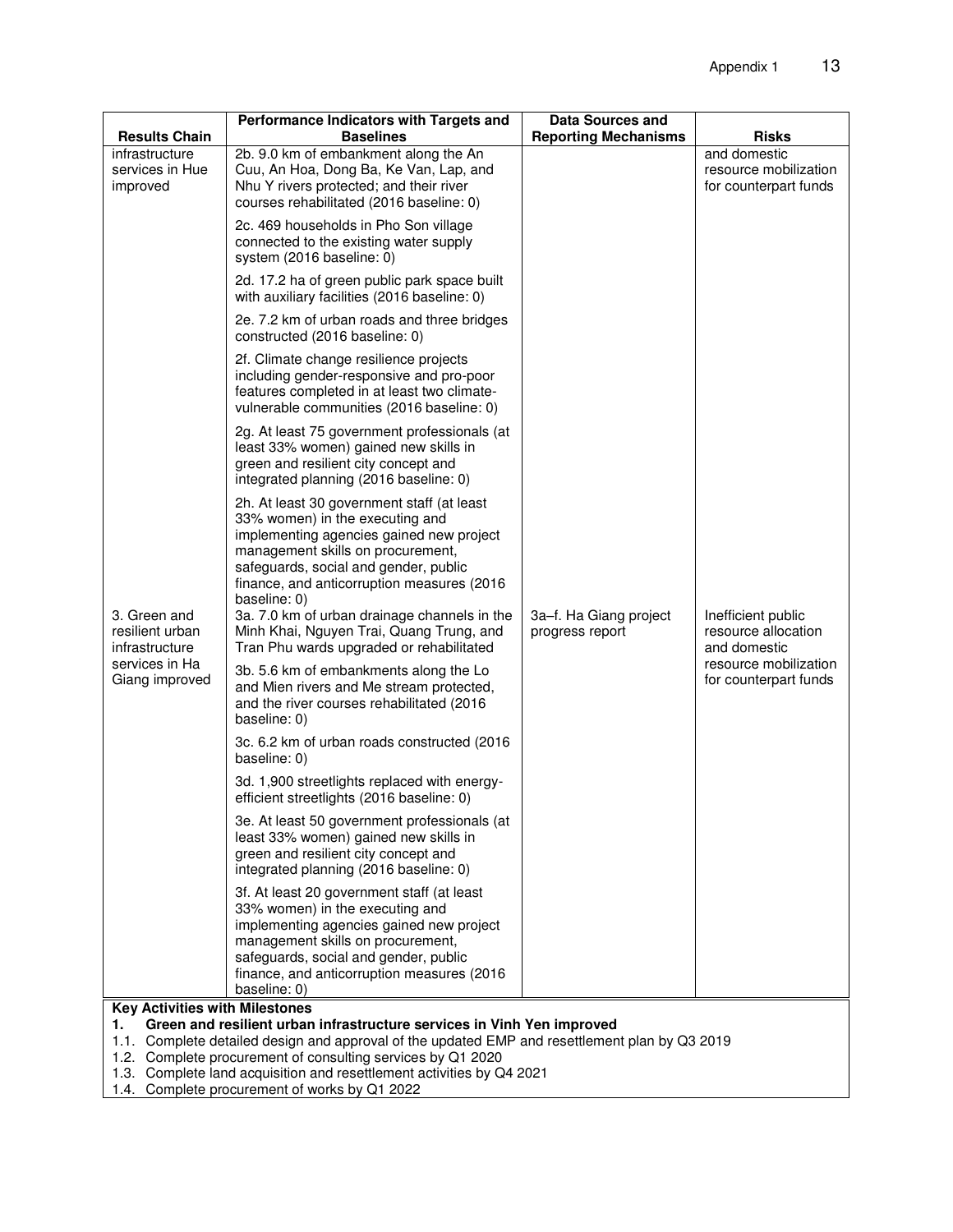|                                                             | Performance Indicators with Targets and                                                                                                                                                                                                                                                                                                                                                                       | Data Sources and                          |                                                                |  |
|-------------------------------------------------------------|---------------------------------------------------------------------------------------------------------------------------------------------------------------------------------------------------------------------------------------------------------------------------------------------------------------------------------------------------------------------------------------------------------------|-------------------------------------------|----------------------------------------------------------------|--|
| <b>Results Chain</b>                                        | <b>Baselines</b>                                                                                                                                                                                                                                                                                                                                                                                              | <b>Reporting Mechanisms</b>               | <b>Risks</b>                                                   |  |
| infrastructure<br>services in Hue<br>improved               | 2b. 9.0 km of embankment along the An<br>Cuu, An Hoa, Dong Ba, Ke Van, Lap, and<br>Nhu Y rivers protected; and their river<br>courses rehabilitated (2016 baseline: 0)                                                                                                                                                                                                                                        |                                           | and domestic<br>resource mobilization<br>for counterpart funds |  |
|                                                             | 2c. 469 households in Pho Son village<br>connected to the existing water supply<br>system (2016 baseline: 0)                                                                                                                                                                                                                                                                                                  |                                           |                                                                |  |
|                                                             | 2d. 17.2 ha of green public park space built<br>with auxiliary facilities (2016 baseline: 0)                                                                                                                                                                                                                                                                                                                  |                                           |                                                                |  |
|                                                             | 2e. 7.2 km of urban roads and three bridges<br>constructed (2016 baseline: 0)                                                                                                                                                                                                                                                                                                                                 |                                           |                                                                |  |
|                                                             | 2f. Climate change resilience projects<br>including gender-responsive and pro-poor<br>features completed in at least two climate-<br>vulnerable communities (2016 baseline: 0)                                                                                                                                                                                                                                |                                           |                                                                |  |
|                                                             | 2g. At least 75 government professionals (at<br>least 33% women) gained new skills in<br>green and resilient city concept and<br>integrated planning (2016 baseline: 0)                                                                                                                                                                                                                                       |                                           |                                                                |  |
| 3. Green and<br>resilient urban<br>infrastructure           | 2h. At least 30 government staff (at least<br>33% women) in the executing and<br>implementing agencies gained new project<br>management skills on procurement,<br>safeguards, social and gender, public<br>finance, and anticorruption measures (2016<br>baseline: 0)<br>3a. 7.0 km of urban drainage channels in the<br>Minh Khai, Nguyen Trai, Quang Trung, and<br>Tran Phu wards upgraded or rehabilitated | 3a-f. Ha Giang project<br>progress report | Inefficient public<br>resource allocation<br>and domestic      |  |
| services in Ha<br>Giang improved                            | 3b. 5.6 km of embankments along the Lo<br>and Mien rivers and Me stream protected,<br>and the river courses rehabilitated (2016<br>baseline: 0)                                                                                                                                                                                                                                                               |                                           | resource mobilization<br>for counterpart funds                 |  |
|                                                             | 3c. 6.2 km of urban roads constructed (2016<br>baseline: 0)                                                                                                                                                                                                                                                                                                                                                   |                                           |                                                                |  |
|                                                             | 3d. 1,900 streetlights replaced with energy-<br>efficient streetlights (2016 baseline: 0)                                                                                                                                                                                                                                                                                                                     |                                           |                                                                |  |
|                                                             | 3e. At least 50 government professionals (at<br>least 33% women) gained new skills in<br>green and resilient city concept and<br>integrated planning (2016 baseline: 0)                                                                                                                                                                                                                                       |                                           |                                                                |  |
|                                                             | 3f. At least 20 government staff (at least<br>33% women) in the executing and<br>implementing agencies gained new project<br>management skills on procurement,<br>safeguards, social and gender, public<br>finance, and anticorruption measures (2016<br>baseline: 0)                                                                                                                                         |                                           |                                                                |  |
| <b>Key Activities with Milestones</b>                       |                                                                                                                                                                                                                                                                                                                                                                                                               |                                           |                                                                |  |
| 1.                                                          | Green and resilient urban infrastructure services in Vinh Yen improved<br>1.1. Complete detailed design and approval of the updated EMP and resettlement plan by Q3 2019                                                                                                                                                                                                                                      |                                           |                                                                |  |
| 1.2. Complete procurement of consulting services by Q1 2020 |                                                                                                                                                                                                                                                                                                                                                                                                               |                                           |                                                                |  |

1.3. Complete land acquisition and resettlement activities by Q4 2021

1.4. Complete procurement of works by Q1 2022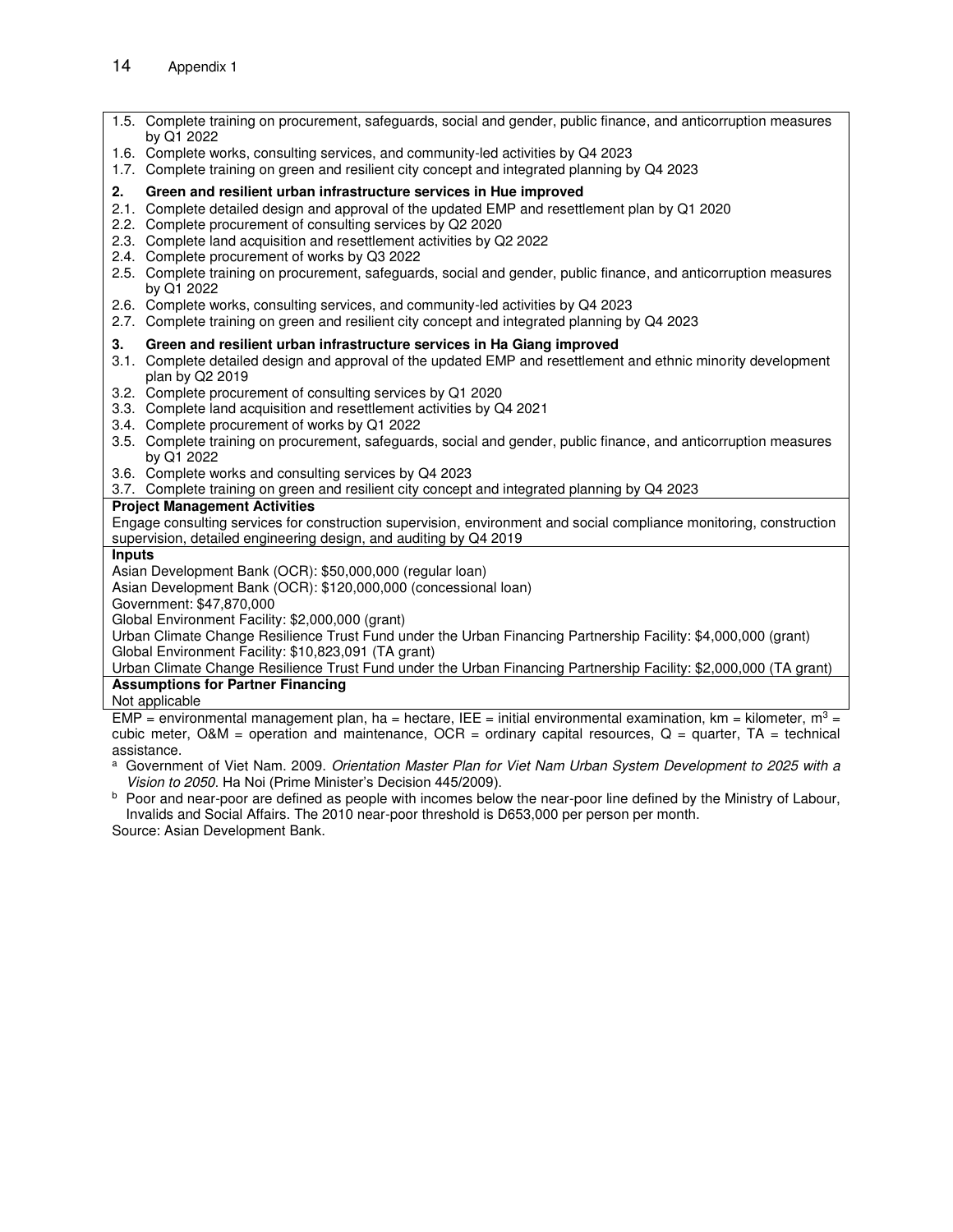1.5. Complete training on procurement, safeguards, social and gender, public finance, and anticorruption measures by Q1 2022 1.6. Complete works, consulting services, and community-led activities by Q4 2023 1.7. Complete training on green and resilient city concept and integrated planning by Q4 2023 **2. Green and resilient urban infrastructure services in Hue improved**  2.1. Complete detailed design and approval of the updated EMP and resettlement plan by Q1 2020 2.2. Complete procurement of consulting services by Q2 2020 2.3. Complete land acquisition and resettlement activities by Q2 2022 2.4. Complete procurement of works by Q3 2022 2.5. Complete training on procurement, safeguards, social and gender, public finance, and anticorruption measures by Q1 2022 2.6. Complete works, consulting services, and community-led activities by Q4 2023 2.7. Complete training on green and resilient city concept and integrated planning by Q4 2023 **3. Green and resilient urban infrastructure services in Ha Giang improved**  3.1. Complete detailed design and approval of the updated EMP and resettlement and ethnic minority development plan by Q2 2019 3.2. Complete procurement of consulting services by Q1 2020 3.3. Complete land acquisition and resettlement activities by Q4 2021 3.4. Complete procurement of works by Q1 2022 3.5. Complete training on procurement, safeguards, social and gender, public finance, and anticorruption measures by Q1 2022 3.6. Complete works and consulting services by Q4 2023 3.7. Complete training on green and resilient city concept and integrated planning by Q4 2023 **Project Management Activities**  Engage consulting services for construction supervision, environment and social compliance monitoring, construction supervision, detailed engineering design, and auditing by Q4 2019 **Inputs**  Asian Development Bank (OCR): \$50,000,000 (regular loan) Asian Development Bank (OCR): \$120,000,000 (concessional loan) Government: \$47,870,000 Global Environment Facility: \$2,000,000 (grant) Urban Climate Change Resilience Trust Fund under the Urban Financing Partnership Facility: \$4,000,000 (grant) Global Environment Facility: \$10,823,091 (TA grant) Urban Climate Change Resilience Trust Fund under the Urban Financing Partnership Facility: \$2,000,000 (TA grant) **Assumptions for Partner Financing**  Not applicable EMP = environmental management plan, ha = hectare, IEE = initial environmental examination, km = kilometer, m<sup>3</sup> =

cubic meter,  $O&M =$  operation and maintenance,  $OCR =$  ordinary capital resources,  $Q =$  quarter,  $TA =$  technical assistance.

<sup>a</sup> Government of Viet Nam. 2009. *Orientation Master Plan for Viet Nam Urban System Development to 2025 with a Vision to 2050*. Ha Noi (Prime Minister's Decision 445/2009).

<sup>b</sup> Poor and near-poor are defined as people with incomes below the near-poor line defined by the Ministry of Labour, Invalids and Social Affairs. The 2010 near-poor threshold is D653,000 per person per month. Source: Asian Development Bank.